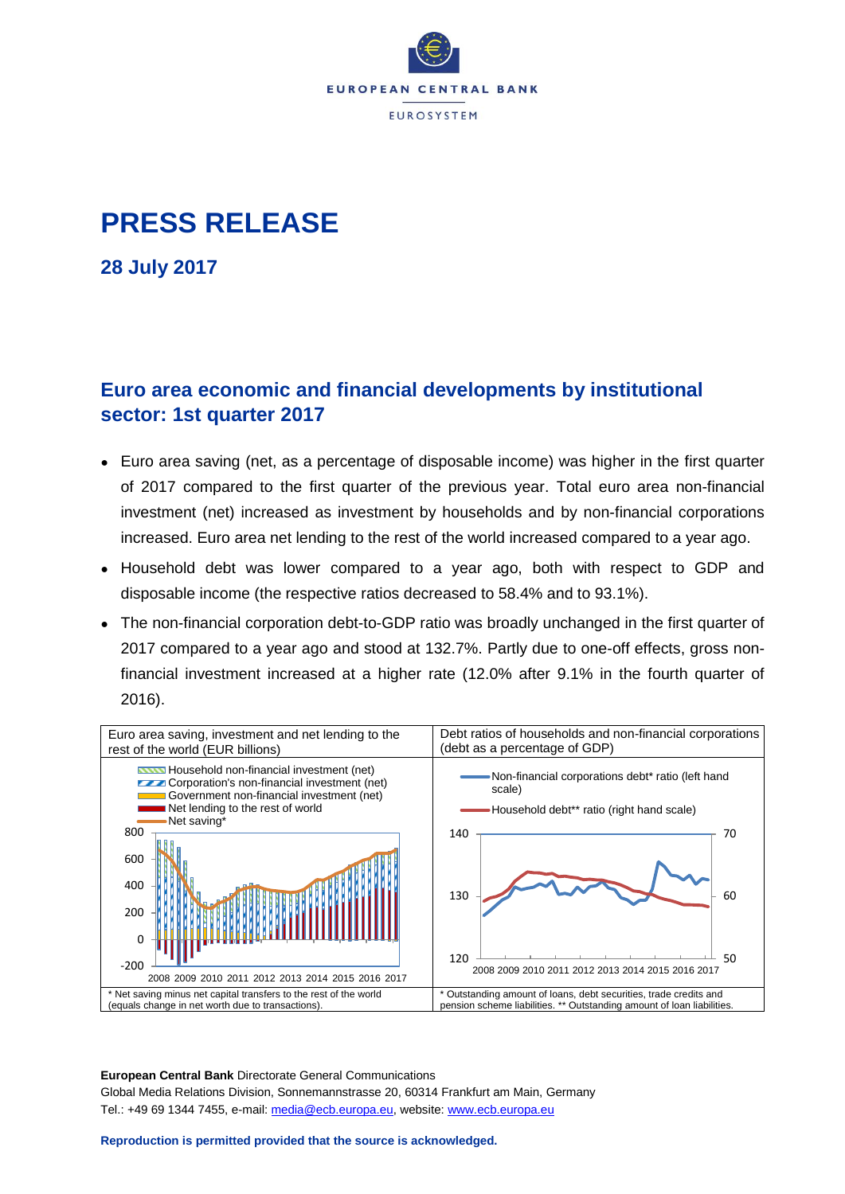

# **PRESS RELEASE**

**28 July 2017**

### **Euro area economic and financial developments by institutional sector: 1st quarter 2017**

- Euro area saving (net, as a percentage of disposable income) was higher in the first quarter of 2017 compared to the first quarter of the previous year. Total euro area non-financial investment (net) increased as investment by households and by non-financial corporations increased. Euro area net lending to the rest of the world increased compared to a year ago.
- Household debt was lower compared to a year ago, both with respect to GDP and disposable income (the respective ratios decreased to 58.4% and to 93.1%).
- The non-financial corporation debt-to-GDP ratio was broadly unchanged in the first quarter of 2017 compared to a year ago and stood at 132.7%. Partly due to one-off effects, gross nonfinancial investment increased at a higher rate (12.0% after 9.1% in the fourth quarter of 2016).



**European Central Bank** Directorate General Communications Global Media Relations Division, Sonnemannstrasse 20, 60314 Frankfurt am Main, Germany Tel.: +49 69 1344 7455, e-mail: [media@ecb.europa.eu,](mailto:media@ecb.europa.eu) website[: www.ecb.europa.eu](http://www.ecb.europa.eu/)

#### **Reproduction is permitted provided that the source is acknowledged.**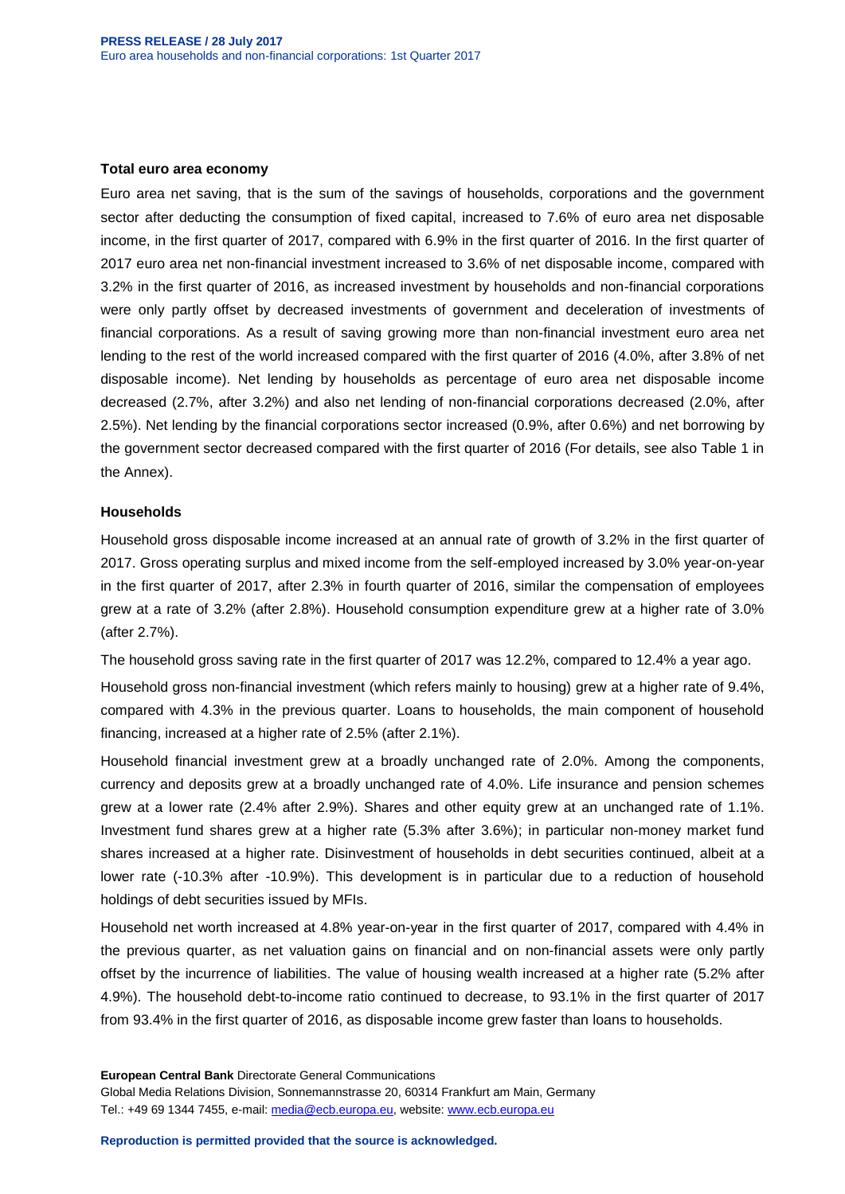#### **Total euro area economy**

Euro area net saving, that is the sum of the savings of households, corporations and the government sector after deducting the consumption of fixed capital, increased to 7.6% of euro area net disposable income, in the first quarter of 2017, compared with 6.9% in the first quarter of 2016. In the first quarter of 2017 euro area net non-financial investment increased to 3.6% of net disposable income, compared with 3.2% in the first quarter of 2016, as increased investment by households and non-financial corporations were only partly offset by decreased investments of government and deceleration of investments of financial corporations. As a result of saving growing more than non-financial investment euro area net lending to the rest of the world increased compared with the first quarter of 2016 (4.0%, after 3.8% of net disposable income). Net lending by households as percentage of euro area net disposable income decreased (2.7%, after 3.2%) and also net lending of non-financial corporations decreased (2.0%, after 2.5%). Net lending by the financial corporations sector increased (0.9%, after 0.6%) and net borrowing by the government sector decreased compared with the first quarter of 2016 (For details, see also Table 1 in the Annex).

#### **Households**

Household gross disposable income increased at an annual rate of growth of 3.2% in the first quarter of 2017. Gross operating surplus and mixed income from the self-employed increased by 3.0% year-on-year in the first quarter of 2017, after 2.3% in fourth quarter of 2016, similar the compensation of employees grew at a rate of 3.2% (after 2.8%). Household consumption expenditure grew at a higher rate of 3.0% (after 2.7%).

The household gross saving rate in the first quarter of 2017 was 12.2%, compared to 12.4% a year ago.

Household gross non-financial investment (which refers mainly to housing) grew at a higher rate of 9.4%, compared with 4.3% in the previous quarter. Loans to households, the main component of household financing, increased at a higher rate of 2.5% (after 2.1%).

Household financial investment grew at a broadly unchanged rate of 2.0%. Among the components, currency and deposits grew at a broadly unchanged rate of 4.0%. Life insurance and pension schemes grew at a lower rate (2.4% after 2.9%). Shares and other equity grew at an unchanged rate of 1.1%. Investment fund shares grew at a higher rate (5.3% after 3.6%); in particular non-money market fund shares increased at a higher rate. Disinvestment of households in debt securities continued, albeit at a lower rate (-10.3% after -10.9%). This development is in particular due to a reduction of household holdings of debt securities issued by MFIs.

Household net worth increased at 4.8% year-on-year in the first quarter of 2017, compared with 4.4% in the previous quarter, as net valuation gains on financial and on non-financial assets were only partly offset by the incurrence of liabilities. The value of housing wealth increased at a higher rate (5.2% after 4.9%). The household debt-to-income ratio continued to decrease, to 93.1% in the first quarter of 2017 from 93.4% in the first quarter of 2016, as disposable income grew faster than loans to households.

**European Central Bank** Directorate General Communications Global Media Relations Division, Sonnemannstrasse 20, 60314 Frankfurt am Main, Germany Tel.: +49 69 1344 7455, e-mail: [media@ecb.europa.eu,](mailto:media@ecb.europa.eu) website[: www.ecb.europa.eu](http://www.ecb.europa.eu/)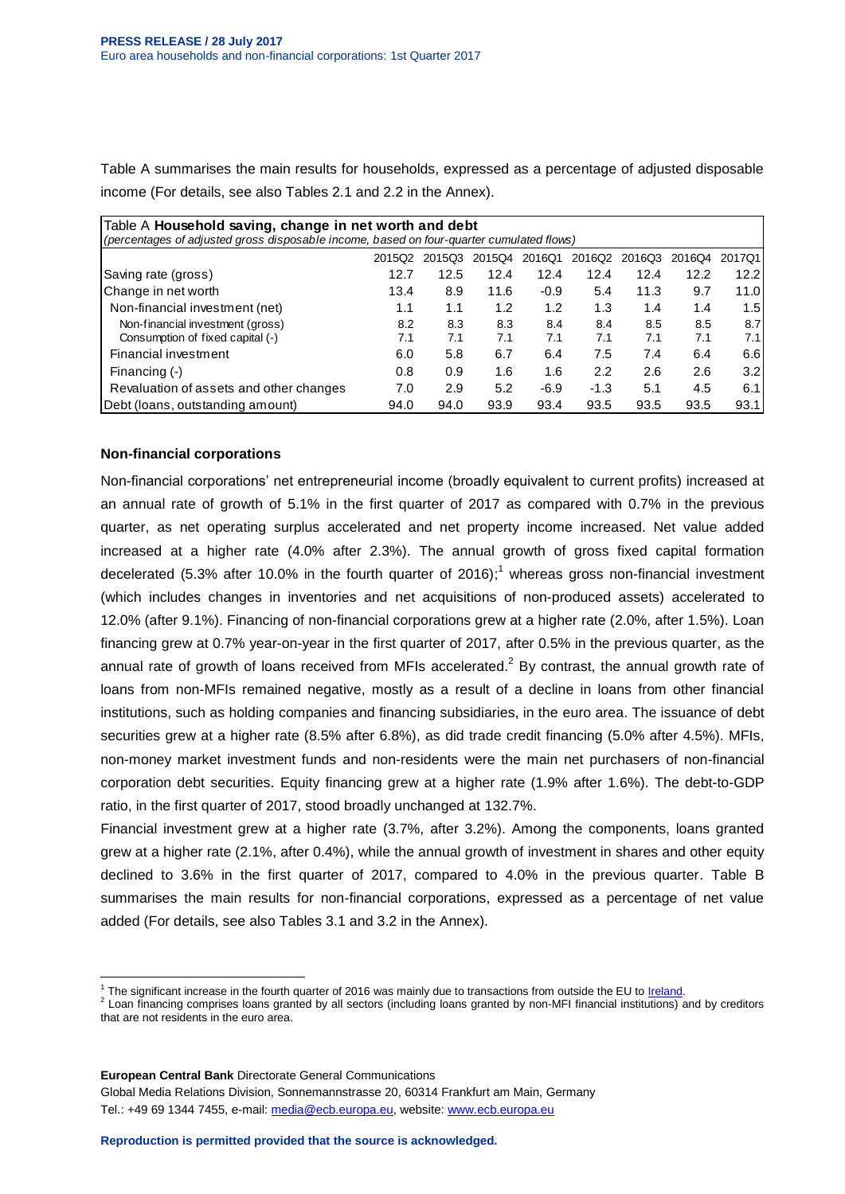Table A summarises the main results for households, expressed as a percentage of adjusted disposable income (For details, see also Tables 2.1 and 2.2 in the Annex).

| Table A Household saving, change in net worth and debt                                   |        |        |        |        |        |        |        |                  |  |  |
|------------------------------------------------------------------------------------------|--------|--------|--------|--------|--------|--------|--------|------------------|--|--|
| (percentages of adjusted gross disposable income, based on four-quarter cumulated flows) |        |        |        |        |        |        |        |                  |  |  |
|                                                                                          | 2015Q2 | 201503 | 2015Q4 | 2016Q1 | 2016Q2 | 2016Q3 | 2016Q4 | 2017Q1           |  |  |
| Saving rate (gross)                                                                      | 12.7   | 12.5   | 12.4   | 12.4   | 12.4   | 12.4   | 12.2   | 12.2             |  |  |
| Change in net worth                                                                      | 13.4   | 8.9    | 11.6   | $-0.9$ | 5.4    | 11.3   | 9.7    | 11.0I            |  |  |
| Non-financial investment (net)                                                           | 1.1    | 1.1    | 1.2    | 1.2    | 1.3    | 1.4    | 1.4    | 1.51             |  |  |
| Non-financial investment (gross)                                                         | 8.2    | 8.3    | 8.3    | 8.4    | 8.4    | 8.5    | 8.5    | 8.7 <sub>l</sub> |  |  |
| Consumption of fixed capital (-)                                                         | 7.1    | 7.1    | 7.1    | 7.1    | 7.1    | 7.1    | 7.1    | 7.11             |  |  |
| Financial investment                                                                     | 6.0    | 5.8    | 6.7    | 6.4    | 7.5    | 7.4    | 6.4    | 6.6              |  |  |
| Financing (-)                                                                            | 0.8    | 0.9    | 1.6    | 1.6    | 2.2    | 2.6    | 2.6    | 3.2 <sub>l</sub> |  |  |
| Revaluation of assets and other changes                                                  | 7.0    | 2.9    | 5.2    | $-6.9$ | $-1.3$ | 5.1    | 4.5    | 6.11             |  |  |
| Debt (Ioans, outstanding amount)                                                         | 94.0   | 94.0   | 93.9   | 93.4   | 93.5   | 93.5   | 93.5   | 93.1             |  |  |

### **Non-financial corporations**

Non-financial corporations' net entrepreneurial income (broadly equivalent to current profits) increased at an annual rate of growth of 5.1% in the first quarter of 2017 as compared with 0.7% in the previous quarter, as net operating surplus accelerated and net property income increased. Net value added increased at a higher rate (4.0% after 2.3%). The annual growth of gross fixed capital formation decelerated (5.3% after 10.0% in the fourth quarter of 2016);<sup>1</sup> whereas gross non-financial investment (which includes changes in inventories and net acquisitions of non-produced assets) accelerated to 12.0% (after 9.1%). Financing of non-financial corporations grew at a higher rate (2.0%, after 1.5%). Loan financing grew at 0.7% year-on-year in the first quarter of 2017, after 0.5% in the previous quarter, as the annual rate of growth of loans received from MFIs accelerated.<sup>2</sup> By contrast, the annual growth rate of loans from non-MFIs remained negative, mostly as a result of a decline in loans from other financial institutions, such as holding companies and financing subsidiaries, in the euro area. The issuance of debt securities grew at a higher rate (8.5% after 6.8%), as did trade credit financing (5.0% after 4.5%). MFIs, non-money market investment funds and non-residents were the main net purchasers of non-financial corporation debt securities. Equity financing grew at a higher rate (1.9% after 1.6%). The debt-to-GDP ratio, in the first quarter of 2017, stood broadly unchanged at 132.7%.

Financial investment grew at a higher rate (3.7%, after 3.2%). Among the components, loans granted grew at a higher rate (2.1%, after 0.4%), while the annual growth of investment in shares and other equity declined to 3.6% in the first quarter of 2017, compared to 4.0% in the previous quarter. Table B summarises the main results for non-financial corporations, expressed as a percentage of net value added (For details, see also Tables 3.1 and 3.2 in the Annex).

 $\overline{a}$ <sup>1</sup> The significant increase in the fourth quarter of 2016 was mainly due to transactions from outside the EU to *Ireland*.

 $^2$  Loan financing comprises loans granted by all sectors (including loans granted by non-MFI financial institutions) and by creditors that are not residents in the euro area.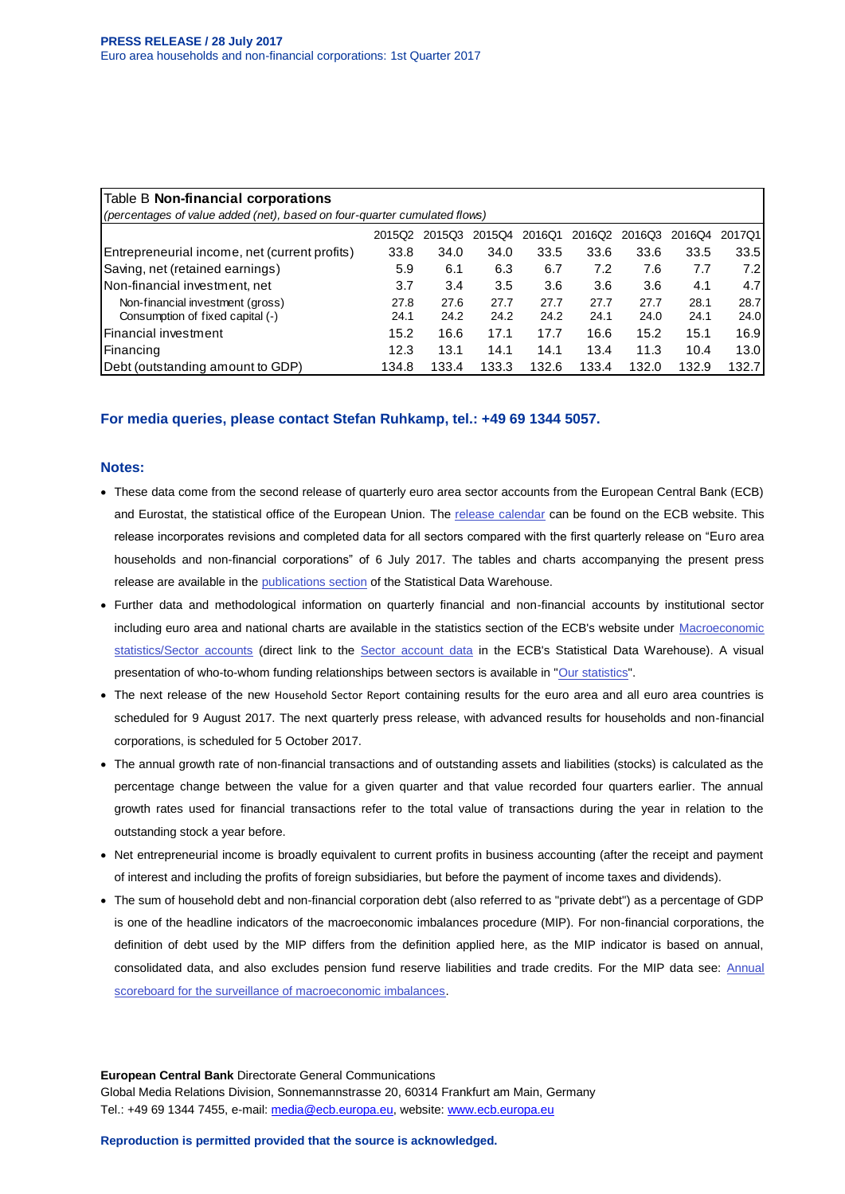| Table B Non-financial corporations<br>(percentages of value added (net), based on four-quarter cumulated flows) |        |        |        |        |        |        |        |        |  |  |  |
|-----------------------------------------------------------------------------------------------------------------|--------|--------|--------|--------|--------|--------|--------|--------|--|--|--|
|                                                                                                                 |        |        |        |        |        |        |        |        |  |  |  |
|                                                                                                                 | 2015Q2 | 2015Q3 | 2015Q4 | 2016Q1 | 2016Q2 | 2016Q3 | 2016Q4 | 2017Q1 |  |  |  |
| Entrepreneurial income, net (current profits)                                                                   | 33.8   | 34.0   | 34.0   | 33.5   | 33.6   | 33.6   | 33.5   | 33.5   |  |  |  |
| Saving, net (retained earnings)                                                                                 | 5.9    | 6.1    | 6.3    | 6.7    | 7.2    | 7.6    | 7.7    | 7.2    |  |  |  |
| Non-financial investment, net                                                                                   | 3.7    | 3.4    | 3.5    | 3.6    | 3.6    | 3.6    | 4.1    | 4.7    |  |  |  |
| Non-financial investment (gross)                                                                                | 27.8   | 27.6   | 27.7   | 27.7   | 27.7   | 27.7   | 28.1   | 28.7   |  |  |  |
| Consumption of fixed capital (-)                                                                                | 24.1   | 24.2   | 24.2   | 24.2   | 24.1   | 24.0   | 24.1   | 24.0   |  |  |  |
| l Financial investment                                                                                          | 15.2   | 16.6   | 17.1   | 17.7   | 16.6   | 15.2   | 15.1   | 16.9   |  |  |  |
| Financing                                                                                                       | 12.3   | 13.1   | 14.1   | 14.1   | 13.4   | 11.3   | 10.4   | 13.0   |  |  |  |
| (Debt (outstanding amount to GDP)                                                                               | 134.8  | 133.4  | 133.3  | 132.6  | 133.4  | 132.0  | 132.9  | 132.7  |  |  |  |

#### **For media queries, please contact Stefan Ruhkamp, tel.: +49 69 1344 5057.**

#### **Notes:**

- These data come from the second release of quarterly euro area sector accounts from the European Central Bank (ECB) and Eurostat, the statistical office of the European Union. The [release calendar](http://www.ecb.europa.eu/press/calendars/statscal/eaa/html/index.en.html) can be found on the ECB website. This release incorporates revisions and completed data for all sectors compared with the first quarterly release on "Euro area households and non-financial corporations" of 6 July 2017. The tables and charts accompanying the present press release are available in th[e publications section](http://sdw.ecb.europa.eu/reports.do?node=1000005700) of the Statistical Data Warehouse.
- Further data and methodological information on quarterly financial and non-financial accounts by institutional sector including euro area and national charts are available in the statistics section of the ECB's website under Macroeconomic [statistics/Sector accounts](http://www.ecb.europa.eu/stats/acc/html/index.en.html) (direct link to the [Sector account data](http://sdw.ecb.europa.eu/browse.do?node=9691132) in the ECB's Statistical Data Warehouse). A visual presentation of who-to-whom funding relationships between sectors is available in ["Our statistics"](http://www.euro-area-statistics.org/).
- The next release of the new [Household Sector Report](http://sdw.ecb.europa.eu/reports.do?node=1000004962) containing results for the euro area and all euro area countries is scheduled for 9 August 2017. The next quarterly press release, with advanced results for households and non-financial corporations, is scheduled for 5 October 2017.
- The annual growth rate of non-financial transactions and of outstanding assets and liabilities (stocks) is calculated as the percentage change between the value for a given quarter and that value recorded four quarters earlier. The annual growth rates used for financial transactions refer to the total value of transactions during the year in relation to the outstanding stock a year before.
- Net entrepreneurial income is broadly equivalent to current profits in business accounting (after the receipt and payment of interest and including the profits of foreign subsidiaries, but before the payment of income taxes and dividends).
- The sum of household debt and non-financial corporation debt (also referred to as "private debt") as a percentage of GDP is one of the headline indicators of the macroeconomic imbalances procedure (MIP). For non-financial corporations, the definition of debt used by the MIP differs from the definition applied here, as the MIP indicator is based on annual, consolidated data, and also excludes pension fund reserve liabilities and trade credits. For the MIP data see: [Annual](http://sdw.ecb.europa.eu/reports.do?node=1000004048)  [scoreboard for the surveillance of macroeconomic imbalances.](http://sdw.ecb.europa.eu/reports.do?node=1000004048)

**European Central Bank** Directorate General Communications Global Media Relations Division, Sonnemannstrasse 20, 60314 Frankfurt am Main, Germany Tel.: +49 69 1344 7455, e-mail: [media@ecb.europa.eu,](mailto:media@ecb.europa.eu) website[: www.ecb.europa.eu](http://www.ecb.europa.eu/)

**Reproduction is permitted provided that the source is acknowledged.**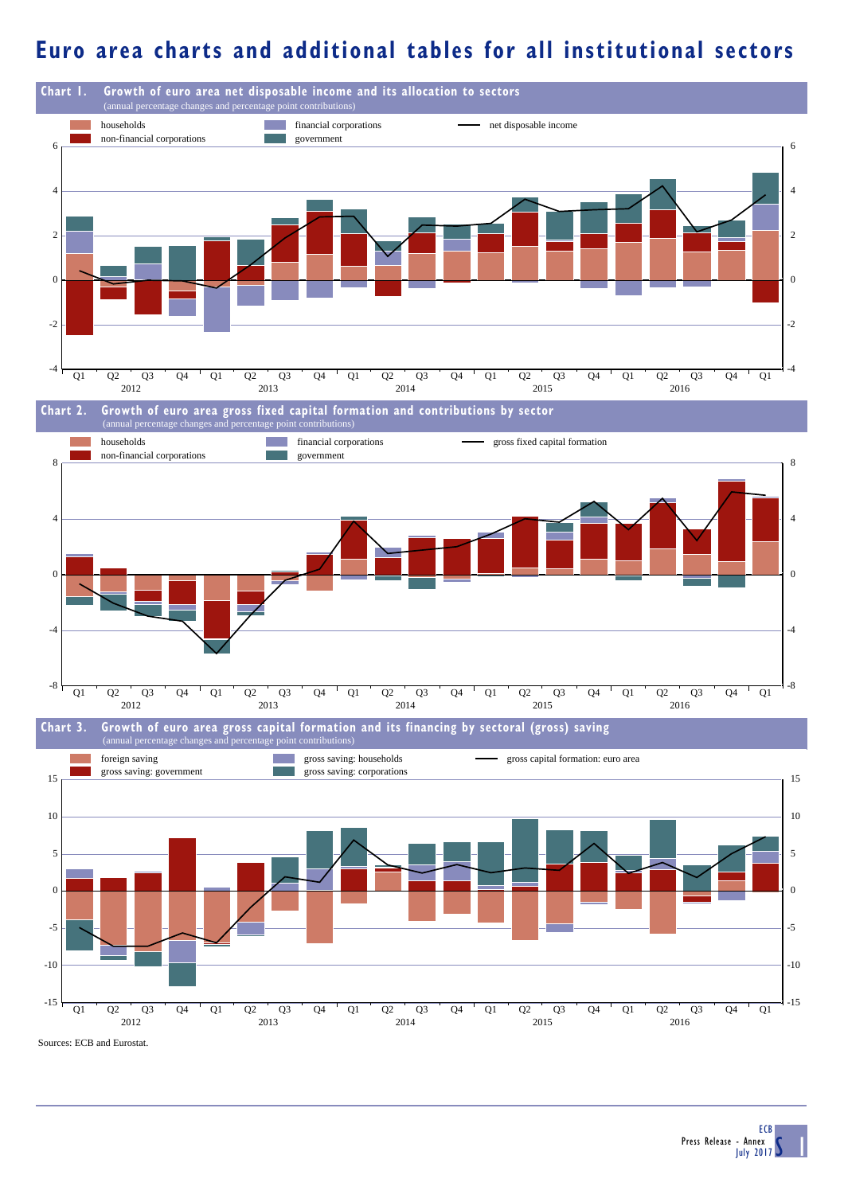### **Euro area charts and additional tables for all institutional sectors**

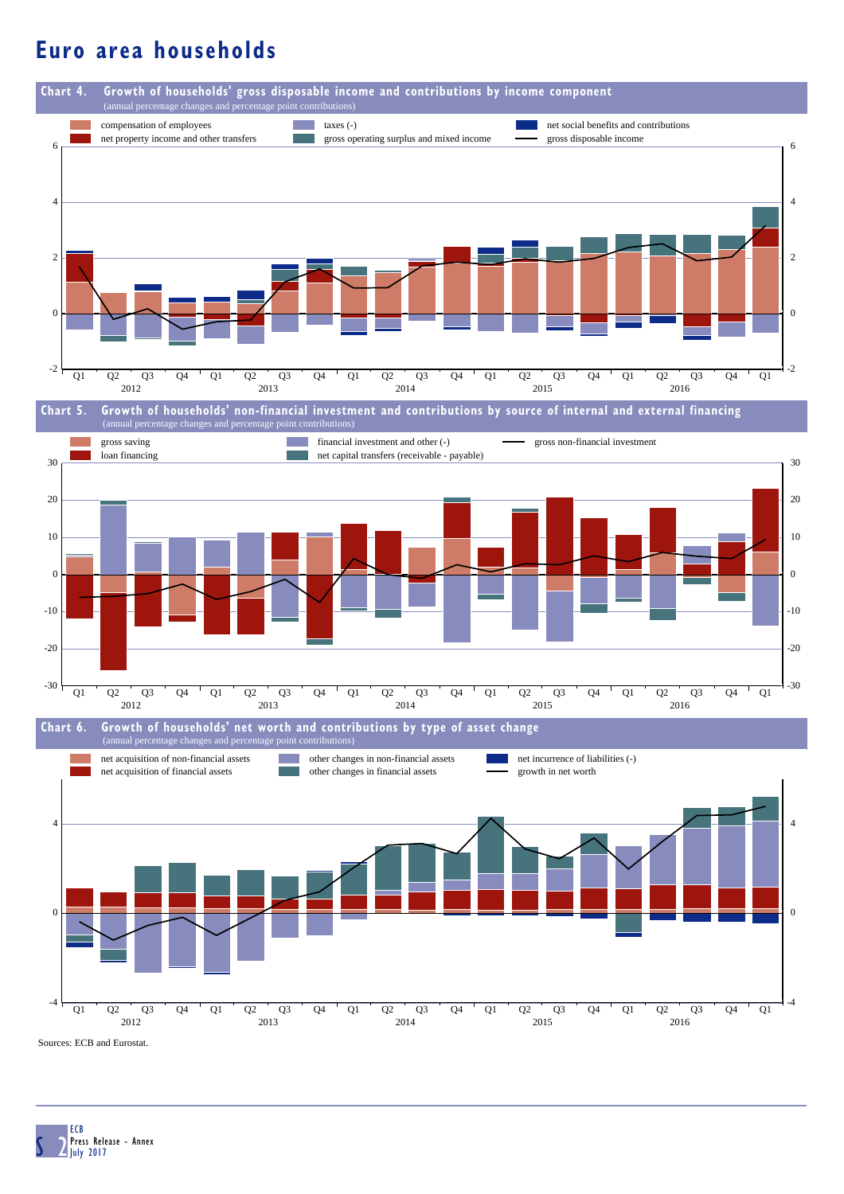## **Euro area households**



S 2 ECB Press Release - Annex July 2017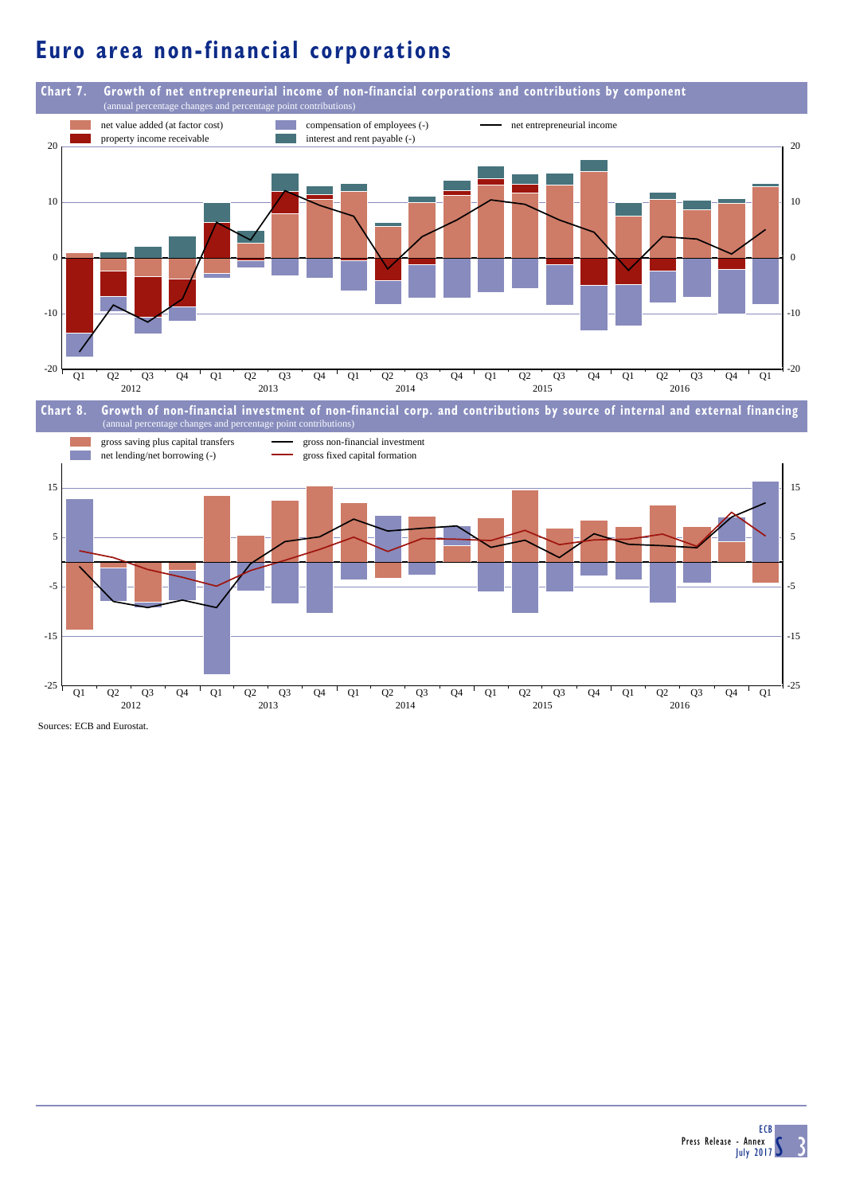# **Euro area non-financial corporations**



Sources: ECB and Eurostat.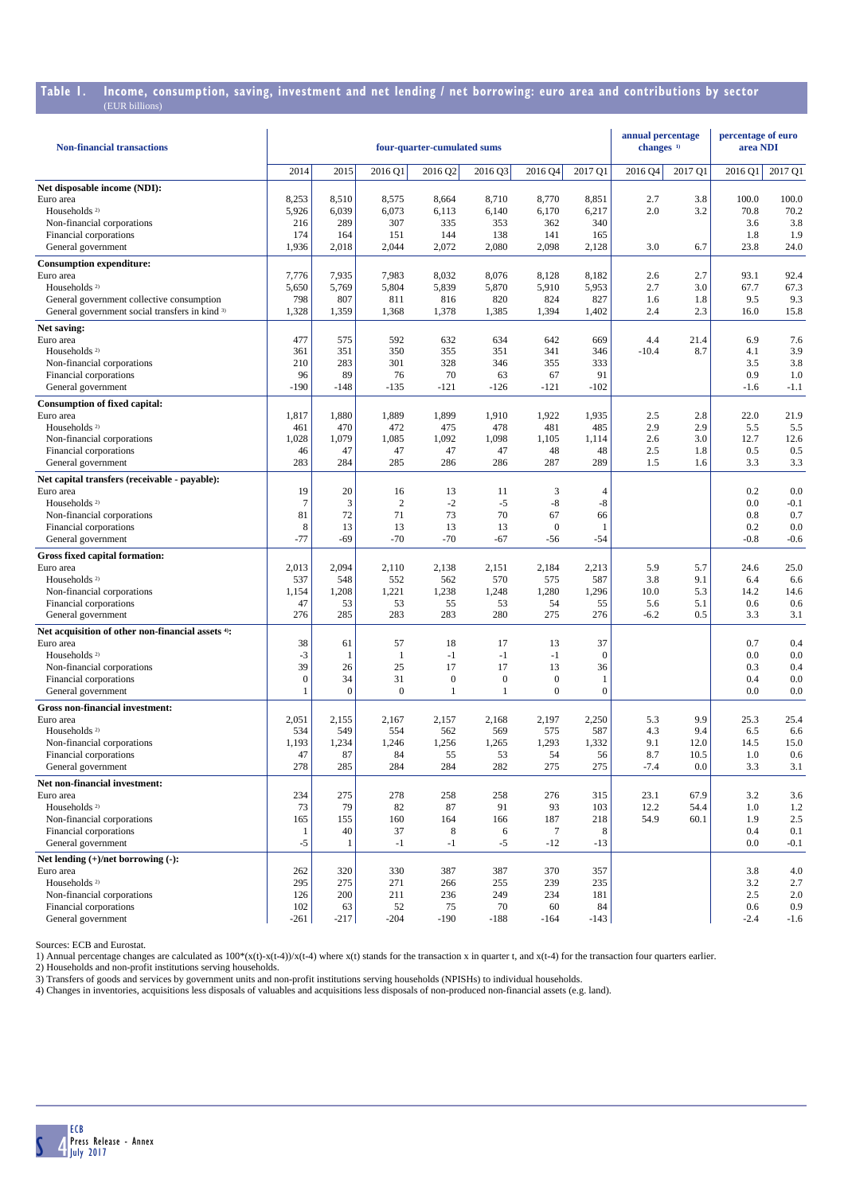## **Table 1. Income, consumption, saving, investment and net lending / net borrowing: euro area and contributions by sector**

| <b>Non-financial transactions</b>                                                           |              |                  |                | four-quarter-cumulated sums |                  |                        |                     | annual percentage<br>changes <sup>1)</sup> |             | percentage of euro<br>area NDI |             |
|---------------------------------------------------------------------------------------------|--------------|------------------|----------------|-----------------------------|------------------|------------------------|---------------------|--------------------------------------------|-------------|--------------------------------|-------------|
|                                                                                             | 2014         | 2015             | 2016 Q1        | 2016 Q2                     | 2016 Q3          | 2016 04                | 2017 Q1             | 2016 Q4                                    | 2017 O1     | 2016 Q1                        | 2017 Q1     |
| Net disposable income (NDI):                                                                |              |                  |                |                             |                  |                        |                     |                                            |             |                                |             |
| Euro area                                                                                   | 8,253        | 8,510            | 8,575          | 8,664                       | 8,710            | 8,770                  | 8,851               | 2.7                                        | 3.8         | 100.0                          | 100.0       |
| Households <sup>2)</sup>                                                                    | 5,926        | 6,039            | 6,073          | 6,113                       | 6,140            | 6,170                  | 6,217               | 2.0                                        | 3.2         | 70.8                           | 70.2        |
| Non-financial corporations                                                                  | 216          | 289              | 307            | 335                         | 353              | 362                    | 340                 |                                            |             | 3.6                            | 3.8         |
| Financial corporations                                                                      | 174          | 164              | 151            | 144                         | 138              | 141                    | 165                 |                                            |             | 1.8                            | 1.9         |
| General government                                                                          | 1,936        | 2,018            | 2,044          | 2,072                       | 2,080            | 2,098                  | 2,128               | 3.0                                        | 6.7         | 23.8                           | 24.0        |
| <b>Consumption expenditure:</b>                                                             |              |                  |                |                             |                  |                        |                     |                                            |             |                                |             |
| Euro area                                                                                   | 7,776        | 7,935            | 7,983          | 8,032                       | 8,076            | 8,128                  | 8,182               | 2.6                                        | 2.7         | 93.1                           | 92.4        |
| Households <sup>2)</sup>                                                                    | 5,650<br>798 | 5,769<br>807     | 5,804<br>811   | 5,839<br>816                | 5,870<br>820     | 5,910<br>824           | 5,953<br>827        | 2.7<br>1.6                                 | 3.0<br>1.8  | 67.7<br>9.5                    | 67.3<br>9.3 |
| General government collective consumption<br>General government social transfers in kind 3) | 1,328        | 1,359            | 1,368          | 1,378                       | 1,385            | 1,394                  | 1,402               | 2.4                                        | 2.3         | 16.0                           | 15.8        |
|                                                                                             |              |                  |                |                             |                  |                        |                     |                                            |             |                                |             |
| Net saving:<br>Euro area                                                                    | 477          | 575              | 592            | 632                         | 634              | 642                    | 669                 | 4.4                                        | 21.4        | 6.9                            | 7.6         |
| Households <sup>2)</sup>                                                                    | 361          | 351              | 350            | 355                         | 351              | 341                    | 346                 | $-10.4$                                    | 8.7         | 4.1                            | 3.9         |
| Non-financial corporations                                                                  | 210          | 283              | 301            | 328                         | 346              | 355                    | 333                 |                                            |             | 3.5                            | 3.8         |
| Financial corporations                                                                      | 96           | 89               | 76             | 70                          | 63               | 67                     | 91                  |                                            |             | 0.9                            | 1.0         |
| General government                                                                          | $-190$       | $-148$           | $-135$         | $-121$                      | $-126$           | $-121$                 | $-102$              |                                            |             | $-1.6$                         | $-1.1$      |
| <b>Consumption of fixed capital:</b>                                                        |              |                  |                |                             |                  |                        |                     |                                            |             |                                |             |
| Euro area                                                                                   | 1,817        | 1,880            | 1,889          | 1,899                       | 1,910            | 1,922                  | 1,935               | 2.5                                        | 2.8         | 22.0                           | 21.9        |
| Households <sup>2)</sup>                                                                    | 461          | 470              | 472            | 475                         | 478              | 481                    | 485                 | 2.9                                        | 2.9         | 5.5                            | 5.5         |
| Non-financial corporations                                                                  | 1,028        | 1,079            | 1,085          | 1,092                       | 1,098            | 1,105                  | 1,114               | 2.6                                        | 3.0         | 12.7                           | 12.6        |
| Financial corporations                                                                      | 46           | 47               | 47             | 47                          | 47               | 48                     | 48                  | 2.5                                        | 1.8         | 0.5                            | 0.5         |
| General government                                                                          | 283          | 284              | 285            | 286                         | 286              | 287                    | 289                 | 1.5                                        | 1.6         | 3.3                            | 3.3         |
| Net capital transfers (receivable - payable):                                               |              |                  |                |                             |                  |                        |                     |                                            |             |                                |             |
| Euro area                                                                                   | 19           | 20               | 16             | 13                          | 11               | 3                      | $\overline{4}$      |                                            |             | 0.2                            | 0.0         |
| Households <sup>2)</sup>                                                                    | $\tau$       | 3                | $\overline{2}$ | $-2$                        | $-5$             | $-8$                   | -8                  |                                            |             | 0.0                            | $-0.1$      |
| Non-financial corporations                                                                  | 81<br>8      | 72<br>13         | 71<br>13       | 73<br>13                    | 70<br>13         | 67<br>$\boldsymbol{0}$ | 66                  |                                            |             | 0.8<br>0.2                     | 0.7<br>0.0  |
| Financial corporations<br>General government                                                | $-77$        | $-69$            | $-70$          | $-70$                       | $-67$            | -56                    | $\mathbf{1}$<br>-54 |                                            |             | $-0.8$                         | $-0.6$      |
|                                                                                             |              |                  |                |                             |                  |                        |                     |                                            |             |                                |             |
| Gross fixed capital formation:<br>Euro area                                                 | 2,013        | 2,094            | 2,110          | 2,138                       | 2,151            | 2,184                  | 2,213               | 5.9                                        | 5.7         | 24.6                           | 25.0        |
| Households <sup>2)</sup>                                                                    | 537          | 548              | 552            | 562                         | 570              | 575                    | 587                 | 3.8                                        | 9.1         | 6.4                            | 6.6         |
| Non-financial corporations                                                                  | 1,154        | 1,208            | 1,221          | 1,238                       | 1,248            | 1,280                  | 1,296               | 10.0                                       | 5.3         | 14.2                           | 14.6        |
| Financial corporations                                                                      | 47           | 53               | 53             | 55                          | 53               | 54                     | 55                  | 5.6                                        | 5.1         | 0.6                            | 0.6         |
| General government                                                                          | 276          | 285              | 283            | 283                         | 280              | 275                    | 276                 | $-6.2$                                     | 0.5         | 3.3                            | 3.1         |
| Net acquisition of other non-financial assets 4):                                           |              |                  |                |                             |                  |                        |                     |                                            |             |                                |             |
| Euro area                                                                                   | 38           | 61               | 57             | 18                          | 17               | 13                     | 37                  |                                            |             | 0.7                            | 0.4         |
| Households <sup>2)</sup>                                                                    | $-3$         | -1               | $\mathbf{1}$   | $-1$                        | $-1$             | $-1$                   | $\theta$            |                                            |             | 0.0                            | 0.0         |
| Non-financial corporations                                                                  | 39           | 26               | 25             | 17                          | 17               | 13                     | 36                  |                                            |             | 0.3                            | 0.4         |
| Financial corporations                                                                      | $\mathbf{0}$ | 34               | 31             | $\boldsymbol{0}$            | $\boldsymbol{0}$ | $\boldsymbol{0}$       | 1                   |                                            |             | 0.4                            | 0.0         |
| General government                                                                          | $\mathbf{1}$ | $\boldsymbol{0}$ | $\overline{0}$ | 1                           | 1                | $\mathbf{0}$           | $\mathbf{0}$        |                                            |             | 0.0                            | 0.0         |
| Gross non-financial investment:                                                             |              |                  |                |                             |                  |                        |                     |                                            |             |                                |             |
| Euro area                                                                                   | 2,051        | 2,155            | 2,167          | 2,157                       | 2,168            | 2,197                  | 2,250               | 5.3                                        | 9.9         | 25.3                           | 25.4        |
| Households <sup>2)</sup><br>Non-financial corporations                                      | 534<br>1,193 | 549<br>1,234     | 554<br>1,246   | 562<br>1,256                | 569<br>1,265     | 575<br>1,293           | 587<br>1,332        | 4.3<br>9.1                                 | 9.4<br>12.0 | 6.5<br>14.5                    | 6.6<br>15.0 |
| Financial corporations                                                                      | 47           | 87               | 84             | 55                          | 53               | 54                     | 56                  | 8.7                                        | 10.5        | 1.0                            | 0.6         |
| General government                                                                          | 278          | 285              | 284            | 284                         | 282              | 275                    | 275                 | $-7.4$                                     | 0.0         | 3.3                            | 3.1         |
| Net non-financial investment:                                                               |              |                  |                |                             |                  |                        |                     |                                            |             |                                |             |
| Euro area                                                                                   | 234          | 275              | 278            | 258                         | 258              | 276                    | 315                 | 23.1                                       | 67.9        | 3.2                            | 3.6         |
| Households <sup>2)</sup>                                                                    | 73           | 79               | 82             | 87                          | 91               | 93                     | 103                 | 12.2                                       | 54.4        | 1.0                            | 1.2         |
| Non-financial corporations                                                                  | 165          | 155              | 160            | 164                         | 166              | 187                    | 218                 | 54.9                                       | 60.1        | 1.9                            | 2.5         |
| Financial corporations                                                                      | -1           | 40               | 37             | 8                           | 6                | 7                      | 8                   |                                            |             | 0.4                            | 0.1         |
| General government                                                                          | $-5$         | -1               | $-1$           | $-1$                        | $-5$             | $-12$                  | $-13$               |                                            |             | 0.0                            | $-0.1$      |
| Net lending (+)/net borrowing (-):                                                          |              |                  |                |                             |                  |                        |                     |                                            |             |                                |             |
| Euro area                                                                                   | 262          | 320              | 330            | 387                         | 387              | 370                    | 357                 |                                            |             | 3.8                            | 4.0         |
| Households <sup>2)</sup>                                                                    | 295          | 275              | 271            | 266                         | 255              | 239                    | 235                 |                                            |             | 3.2                            | 2.7         |
| Non-financial corporations                                                                  | 126          | 200              | 211            | 236                         | 249              | 234                    | 181                 |                                            |             | 2.5                            | 2.0         |
| Financial corporations                                                                      | 102          | 63               | 52             | 75                          | 70               | 60                     | 84                  |                                            |             | 0.6                            | 0.9         |
| General government                                                                          | $-261$       | $-217$           | $-204$         | $-190$                      | $-188$           | $-164$                 | $-143$              |                                            |             | $-2.4$                         | $-1.6$      |

Sources: ECB and Eurostat.

1) Annual percentage changes are calculated as 100\*(x(t)-x(t-4))/x(t-4) where x(t) stands for the transaction x in quarter t, and x(t-4) for the transaction four quarters earlier.<br>3) Households and non-profit institutions

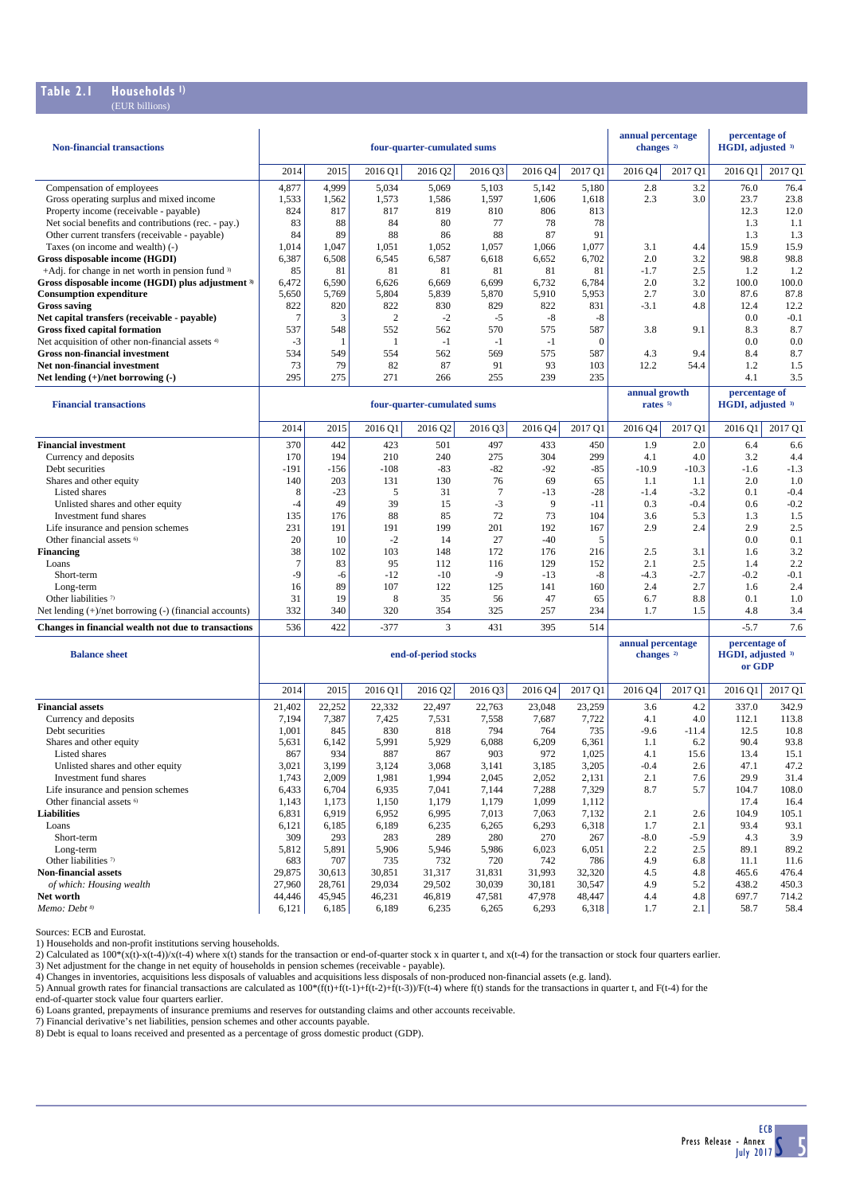#### **Table 2.1 Households 1)** (EUR billions)

| <b>Non-financial transactions</b>                                          |                 |                 |                 | four-quarter-cumulated sums |                 |                 |                 | annual percentage<br>changes <sup>2)</sup> |            | percentage of<br>HGDI, adjusted 3)           |               |
|----------------------------------------------------------------------------|-----------------|-----------------|-----------------|-----------------------------|-----------------|-----------------|-----------------|--------------------------------------------|------------|----------------------------------------------|---------------|
|                                                                            | 2014            | 2015            | 2016 Q1         | 2016 Q2                     | 2016 Q3         | 2016 Q4         | 2017 Q1         | 2016 Q4                                    | 2017 Q1    | 2016 Q1                                      | 2017 Q1       |
| Compensation of employees                                                  | 4,877           | 4,999           | 5,034           | 5,069                       | 5,103           | 5,142           | 5,180           | 2.8                                        | 3.2        | 76.0                                         | 76.4          |
| Gross operating surplus and mixed income                                   | 1,533           | 1,562           | 1,573           | 1,586                       | 1,597           | 1,606           | 1,618           | 2.3                                        | 3.0        | 23.7                                         | 23.8          |
| Property income (receivable - payable)                                     | 824             | 817             | 817             | 819                         | 810             | 806             | 813             |                                            |            | 12.3                                         | 12.0          |
| Net social benefits and contributions (rec. - pay.)                        | 83              | 88              | 84              | 80                          | 77              | 78              | 78              |                                            |            | 1.3                                          | 1.1           |
| Other current transfers (receivable - payable)                             | 84              | 89              | 88              | 86                          | 88              | 87              | 91              |                                            |            | 1.3                                          | 1.3           |
| Taxes (on income and wealth) (-)<br><b>Gross disposable income (HGDI)</b>  | 1,014<br>6,387  | 1,047<br>6,508  | 1,051<br>6,545  | 1,052<br>6,587              | 1,057<br>6,618  | 1,066<br>6,652  | 1,077<br>6,702  | 3.1<br>2.0                                 | 4.4<br>3.2 | 15.9<br>98.8                                 | 15.9<br>98.8  |
| +Adj. for change in net worth in pension fund $3$                          | 85              | 81              | 81              | 81                          | 81              | 81              | 81              | $-1.7$                                     | 2.5        | 1.2                                          | 1.2           |
| Gross disposable income (HGDI) plus adjustment 3)                          | 6,472           | 6,590           | 6,626           | 6,669                       | 6,699           | 6,732           | 6,784           | 2.0                                        | 3.2        | 100.0                                        | 100.0         |
| <b>Consumption expenditure</b>                                             | 5,650           | 5,769           | 5,804           | 5,839                       | 5,870           | 5,910           | 5,953           | 2.7                                        | 3.0        | 87.6                                         | 87.8          |
| <b>Gross saving</b>                                                        | 822             | 820             | 822             | 830                         | 829             | 822             | 831             | $-3.1$                                     | 4.8        | 12.4                                         | 12.2          |
| Net capital transfers (receivable - payable)                               | $\tau$          | 3               | 2               | $-2$                        | $-5$            | $-8$            | $-8$            |                                            |            | 0.0                                          | $-0.1$        |
| <b>Gross fixed capital formation</b>                                       | 537             | 548             | 552             | 562                         | 570             | 575             | 587             | 3.8                                        | 9.1        | 8.3                                          | 8.7           |
| Net acquisition of other non-financial assets <sup>4)</sup>                | $-3$            | $\mathbf{1}$    | $\mathbf{1}$    | $-1$                        | $-1$            | $-1$            | $\mathbf{0}$    |                                            |            | 0.0                                          | 0.0           |
| <b>Gross non-financial investment</b>                                      | 534             | 549             | 554             | 562                         | 569             | 575             | 587             | 4.3                                        | 9.4        | 8.4                                          | 8.7           |
| Net non-financial investment                                               | 73<br>295       | 79<br>275       | 82<br>271       | 87                          | 91<br>255       | 93<br>239       | 103<br>235      | 12.2                                       | 54.4       | 1.2<br>4.1                                   | 1.5<br>3.5    |
| Net lending $(+)/$ net borrowing $(-)$                                     |                 |                 |                 | 266                         |                 |                 |                 |                                            |            |                                              |               |
| <b>Financial transactions</b>                                              |                 |                 |                 | four-quarter-cumulated sums |                 |                 |                 | annual growth<br>rates <sup>5)</sup>       |            | percentage of<br>HGDI, adjusted 3)           |               |
|                                                                            | 2014            | 2015            | 2016 Q1         | 2016 Q2                     | 2016 Q3         | 2016 Q4         | 2017 O1         | 2016 Q4                                    | 2017 Q1    | 2016 Q1                                      | 2017 Q1       |
| <b>Financial investment</b>                                                | 370             | 442             | 423             | 501                         | 497             | 433             | 450             | 1.9                                        | 2.0        | 6.4                                          | 6.6           |
| Currency and deposits                                                      | 170             | 194             | 210             | 240                         | 275             | 304             | 299             | 4.1                                        | 4.0        | 3.2                                          | 4.4           |
| Debt securities                                                            | -191            | $-156$          | $-108$          | $-83$                       | $-82$           | $-92$           | $-85$           | $-10.9$                                    | $-10.3$    | $-1.6$                                       | $-1.3$        |
| Shares and other equity                                                    | 140             | 203             | 131             | 130                         | 76              | 69              | 65              | 1.1                                        | 1.1        | 2.0                                          | 1.0           |
| Listed shares                                                              | 8               | $-23$           | 5               | 31                          | $\overline{7}$  | $-13$           | $-28$           | $-1.4$                                     | $-3.2$     | 0.1                                          | $-0.4$        |
| Unlisted shares and other equity                                           | $-4$            | 49              | 39              | 15                          | $-3$            | 9               | $-11$           | 0.3                                        | $-0.4$     | 0.6                                          | $-0.2$        |
| Investment fund shares                                                     | 135             | 176             | 88              | 85                          | 72              | 73              | 104             | 3.6                                        | 5.3        | 1.3                                          | 1.5           |
| Life insurance and pension schemes<br>Other financial assets <sup>6)</sup> | 231<br>20       | 191<br>10       | 191<br>$-2$     | 199<br>14                   | 201<br>27       | 192<br>$-40$    | 167<br>5        | 2.9                                        | 2.4        | 2.9<br>0.0                                   | 2.5<br>0.1    |
| <b>Financing</b>                                                           | 38              | 102             | 103             | 148                         | 172             | 176             | 216             | 2.5                                        | 3.1        | 1.6                                          | 3.2           |
| Loans                                                                      | $\tau$          | 83              | 95              | 112                         | 116             | 129             | 152             | 2.1                                        | 2.5        | 1.4                                          | 2.2           |
| Short-term                                                                 | $-9$            | -6              | $-12$           | $-10$                       | $-9$            | $-13$           | $-8$            | $-4.3$                                     | $-2.7$     | $-0.2$                                       | $-0.1$        |
| Long-term                                                                  | 16              | 89              | 107             | 122                         | 125             | 141             | 160             | 2.4                                        | 2.7        | 1.6                                          | 2.4           |
| Other liabilities 7)                                                       | 31              | 19              | 8               | 35                          | 56              | 47              | 65              | 6.7                                        | 8.8        | 0.1                                          | 1.0           |
| Net lending $(+)/$ net borrowing $(-)$ (financial accounts)                | 332             | 340             | 320             | 354                         | 325             | 257             | 234             | 1.7                                        | 1.5        | 4.8                                          | 3.4           |
| Changes in financial wealth not due to transactions                        | 536             | 422             | $-377$          | 3                           | 431             | 395             | 514             |                                            |            | $-5.7$                                       | 7.6           |
| <b>Balance sheet</b>                                                       |                 |                 |                 | end-of-period stocks        |                 |                 |                 | annual percentage<br>changes <sup>2)</sup> |            | percentage of<br>HGDI, adjusted 3)<br>or GDP |               |
|                                                                            | 2014            | 2015            | 2016 Q1         | 2016 Q2                     | 2016 Q3         | 2016 04         | 2017 Q1         | 2016 04                                    | 2017 Q1    | 2016 Q1                                      | 2017 Q1       |
| <b>Financial assets</b>                                                    | 21,402          | 22,252          | 22,332          | 22,497                      | 22,763          | 23,048          | 23,259          | 3.6                                        | 4.2        | 337.0                                        | 342.9         |
| Currency and deposits                                                      | 7,194           | 7,387           | 7,425           | 7,531                       | 7,558           | 7,687           | 7,722           | 4.1                                        | 4.0        | 112.1                                        | 113.8         |
| Debt securities                                                            | 1,001           | 845             | 830             | 818                         | 794             | 764             | 735             | $-9.6$                                     | $-11.4$    | 12.5                                         | 10.8          |
| Shares and other equity                                                    | 5,631           | 6,142           | 5,991           | 5,929                       | 6,088           | 6,209           | 6,361           | 1.1                                        | 6.2        | 90.4                                         | 93.8          |
| Listed shares                                                              | 867             | 934             | 887             | 867                         | 903             | 972             | 1,025           | 4.1                                        | 15.6       | 13.4                                         | 15.1          |
| Unlisted shares and other equity<br>Investment fund shares                 | 3,021<br>1,743  | 3,199<br>2,009  | 3,124<br>1,981  | 3,068<br>1,994              | 3,141<br>2,045  | 3,185<br>2,052  | 3,205<br>2,131  | $-0.4$<br>2.1                              | 2.6<br>7.6 | 47.1<br>29.9                                 | 47.2<br>31.4  |
| Life insurance and pension schemes                                         | 6,433           | 6,704           | 6,935           | 7,041                       | 7,144           | 7,288           | 7,329           | 8.7                                        | 5.7        | 104.7                                        | 108.0         |
| Other financial assets <sup>6)</sup>                                       | 1,143           | 1,173           | 1,150           | 1,179                       | 1,179           | 1,099           | 1,112           |                                            |            | 17.4                                         | 16.4          |
| <b>Liabilities</b>                                                         | 6,831           | 6,919           | 6,952           | 6,995                       | 7,013           | 7,063           | 7,132           | 2.1                                        | 2.6        | 104.9                                        | 105.1         |
| Loans                                                                      | 6,121           | 6,185           | 6,189           | 6,235                       | 6,265           | 6,293           | 6,318           | 1.7                                        | 2.1        | 93.4                                         | 93.1          |
| Short-term                                                                 | 309             | 293             | 283             | 289                         | 280             | 270             | 267             | $-8.0$                                     | -5.9       | 4.3                                          | 3.9           |
| Long-term                                                                  | 5,812           | 5,891           | 5,906           | 5,946                       | 5,986           | 6,023           | 6,051           | 2.2                                        | 2.5        | 89.1                                         | 89.2          |
| Other liabilities <sup>7)</sup>                                            | 683             | 707             | 735             | 732                         | 720             | 742             | 786             | 4.9                                        | 6.8        | 11.1                                         | 11.6          |
| <b>Non-financial assets</b>                                                | 29,875          | 30,613          | 30,851          | 31,317                      | 31,831          | 31,993          | 32,320          | 4.5                                        | 4.8        | 465.6                                        | 476.4         |
| of which: Housing wealth                                                   | 27,960          | 28,761          | 29,034          | 29,502                      | 30,039          | 30,181          | 30,547          | 4.9                                        | 5.2        | 438.2                                        | 450.3         |
| Net worth<br>Memo: Debt <sup>8)</sup>                                      | 44,446<br>6,121 | 45,945<br>6,185 | 46,231<br>6,189 | 46,819<br>6,235             | 47,581<br>6,265 | 47,978<br>6,293 | 48,447<br>6,318 | 4.4<br>1.7                                 | 4.8<br>2.1 | 697.7<br>58.7                                | 714.2<br>58.4 |

Sources: ECB and Eurostat.

1) Households and non-profit institutions serving households.

2) Calculated as  $100*(x(t)-x(t-4))/x(t-4)$  where  $x(t)$  stands for the transaction or end-of-quarter stock x in quarter t, and  $x(t-4)$  for the transaction or stock four quarters earlier.

3) Net adjustment for the change in net equity of households in pension schemes (receivable - payable).<br>4) Changes in inventories, acquisitions less disposals of valuables and acquisitions less disposals of non-produced no

6) Loans granted, prepayments of insurance premiums and reserves for outstanding claims and other accounts receivable.

7) Financial derivative's net liabilities, pension schemes and other accounts payable.

8) Debt is equal to loans received and presented as a percentage of gross domestic product (GDP).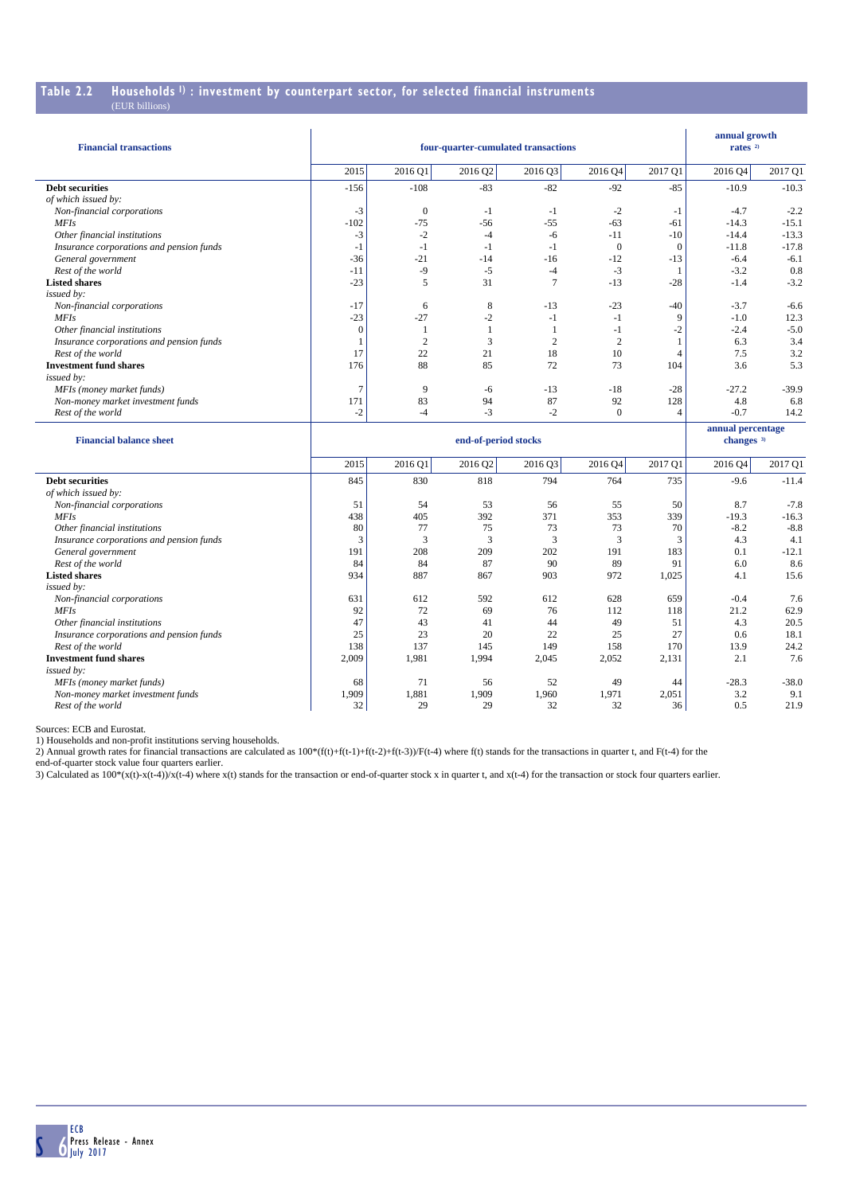## **Table 2.2 Households 1) : investment by counterpart sector, for selected financial instruments**

| <b>Financial transactions</b>            |          | four-quarter-cumulated transactions |                      | annual growth<br>rates $2$ |              |                |                                            |         |
|------------------------------------------|----------|-------------------------------------|----------------------|----------------------------|--------------|----------------|--------------------------------------------|---------|
|                                          | 2015     | 2016 Q1                             | 2016 Q2              | 2016 Q3                    | 2016 Q4      | 2017 Q1        | 2016Q4                                     | 2017 Q1 |
| <b>Debt securities</b>                   | $-156$   | $-108$                              | $-83$                | $-82$                      | $-92$        | $-85$          | $-10.9$                                    | $-10.3$ |
| of which issued by:                      |          |                                     |                      |                            |              |                |                                            |         |
| Non-financial corporations               | $-3$     | $\theta$                            | $-1$                 | $-1$                       | $-2$         | -1             | $-4.7$                                     | $-2.2$  |
| MFI <sub>S</sub>                         | $-102$   | $-75$                               | $-56$                | $-55$                      | $-63$        | $-61$          | $-14.3$                                    | $-15.1$ |
| Other financial institutions             | $-3$     | $-2$                                | $-4$                 | -6                         | $-11$        | $-10$          | $-14.4$                                    | $-13.3$ |
| Insurance corporations and pension funds | $-1$     | $-1$                                | -1                   | $-1$                       | $\theta$     | $\mathbf{0}$   | $-11.8$                                    | $-17.8$ |
| General government                       | $-36$    | $-21$                               | $-14$                | $-16$                      | $-12$        | $-13$          | $-6.4$                                     | $-6.1$  |
| Rest of the world                        | $-11$    | $-9$                                | $-5$                 | $-4$                       | $-3$         |                | $-3.2$                                     | 0.8     |
| <b>Listed shares</b>                     | $-23$    | 5                                   | 31                   | $\overline{7}$             | $-13$        | $-28$          | $-1.4$                                     | $-3.2$  |
| issued by:                               |          |                                     |                      |                            |              |                |                                            |         |
| Non-financial corporations               | $-17$    | 6                                   | 8                    | $-13$                      | $-23$        | $-40$          | $-3.7$                                     | $-6.6$  |
| MFI <sub>S</sub>                         | $-23$    | $-27$                               | $-2$                 | $-1$                       | $-1$         | 9              | $-1.0$                                     | 12.3    |
| Other financial institutions             | $\Omega$ |                                     |                      |                            | $-1$         | $-2$           | $-2.4$                                     | $-5.0$  |
| Insurance corporations and pension funds |          | $\overline{2}$                      | 3                    | $\overline{2}$             | $\mathbf{2}$ |                | 6.3                                        | 3.4     |
| Rest of the world                        | 17       | 22                                  | 21                   | 18                         | 10           | 4              | 7.5                                        | 3.2     |
| <b>Investment fund shares</b>            | 176      | 88                                  | 85                   | 72                         | 73           | 104            | 3.6                                        | 5.3     |
| issued by:                               |          |                                     |                      |                            |              |                |                                            |         |
| MFIs (money market funds)                | 7        | 9                                   | -6                   | $-13$                      | $-18$        | $-28$          | $-27.2$                                    | $-39.9$ |
| Non-money market investment funds        | 171      | 83                                  | 94                   | 87                         | 92           | 128            | 4.8                                        | 6.8     |
| Rest of the world                        | $-2$     | $-4$                                | $-3$                 | $-2$                       | $\mathbf{0}$ | $\overline{4}$ | $-0.7$                                     | 14.2    |
| <b>Financial balance sheet</b>           |          |                                     | end-of-period stocks |                            |              |                | annual percentage<br>changes <sup>3)</sup> |         |
|                                          | 2015     | 2016 Q1                             | 2016 Q2              | 2016 Q3                    | 2016 Q4      | 2017 Q1        | 2016 Q4                                    | 2017 Q1 |
| <b>Debt securities</b>                   | 845      | 830                                 | 818                  | 794                        | 764          | 735            | $-9.6$                                     | $-11.4$ |

| <b>Debt securities</b>                   | 845   | 830   | 818   | 794   | 764   | 735   | $-9.6$  | $-11.4$ |
|------------------------------------------|-------|-------|-------|-------|-------|-------|---------|---------|
| of which issued by:                      |       |       |       |       |       |       |         |         |
| Non-financial corporations               | 51    | 54    | 53    | 56    | 55    | 50    | 8.7     | $-7.8$  |
| <b>MFIs</b>                              | 438   | 405   | 392   | 371   | 353   | 339   | $-19.3$ | $-16.3$ |
| Other financial institutions             | 80    | 77    | 75    | 73    | 73    | 70    | $-8.2$  | $-8.8$  |
| Insurance corporations and pension funds |       | 3     | 3     | 3     | 3     |       | 4.3     | 4.1     |
| General government                       | 191   | 208   | 209   | 202   | 191   | 183   | 0.1     | $-12.1$ |
| Rest of the world                        | 84    | 84    | 87    | 90    | 89    | 91    | 6.0     | 8.6     |
| <b>Listed shares</b>                     | 934   | 887   | 867   | 903   | 972   | 1,025 | 4.1     | 15.6    |
| issued by:                               |       |       |       |       |       |       |         |         |
| Non-financial corporations               | 631   | 612   | 592   | 612   | 628   | 659   | $-0.4$  | 7.6     |
| <b>MFIs</b>                              | 92    | 72    | 69    | 76    | 112   | 118   | 21.2    | 62.9    |
| Other financial institutions             | 47    | 43    | 41    | 44    | 49    | 51    | 4.3     | 20.5    |
| Insurance corporations and pension funds | 25    | 23    | 20    | 22    | 25    | 27    | 0.6     | 18.1    |
| Rest of the world                        | 138   | 137   | 145   | 149   | 158   | 170   | 13.9    | 24.2    |
| <b>Investment fund shares</b>            | 2,009 | 1,981 | 1,994 | 2,045 | 2,052 | 2,131 | 2.1     | 7.6     |
| issued by:                               |       |       |       |       |       |       |         |         |
| MFIs (money market funds)                | 68    | 71    | 56    | 52    | 49    | 44    | $-28.3$ | $-38.0$ |
| Non-money market investment funds        | 1,909 | 1,881 | 1,909 | 1,960 | 1,971 | 2,051 | 3.2     | 9.1     |
| Rest of the world                        | 32    | 29    | 29    | 32    | 32    | 36    | 0.5     | 21.9    |

Sources: ECB and Eurostat.

1) Households and non-profit institutions serving households.

2) Annual growth rates for financial transactions are calculated as  $100*(f(t)+f(t-1)+f(t-2)+f(t-3))/F(t-4)$  where  $f(t)$  stands for the transactions in quarter t, and  $F(t-4)$  for the

end-of-quarter stock value four quarters earlier.

3) Calculated as  $100*(x(t)-x(t-4))/x(t-4)$  where  $x(t)$  stands for the transaction or end-of-quarter stock x in quarter t, and  $x(t-4)$  for the transaction or stock four quarters earlier.

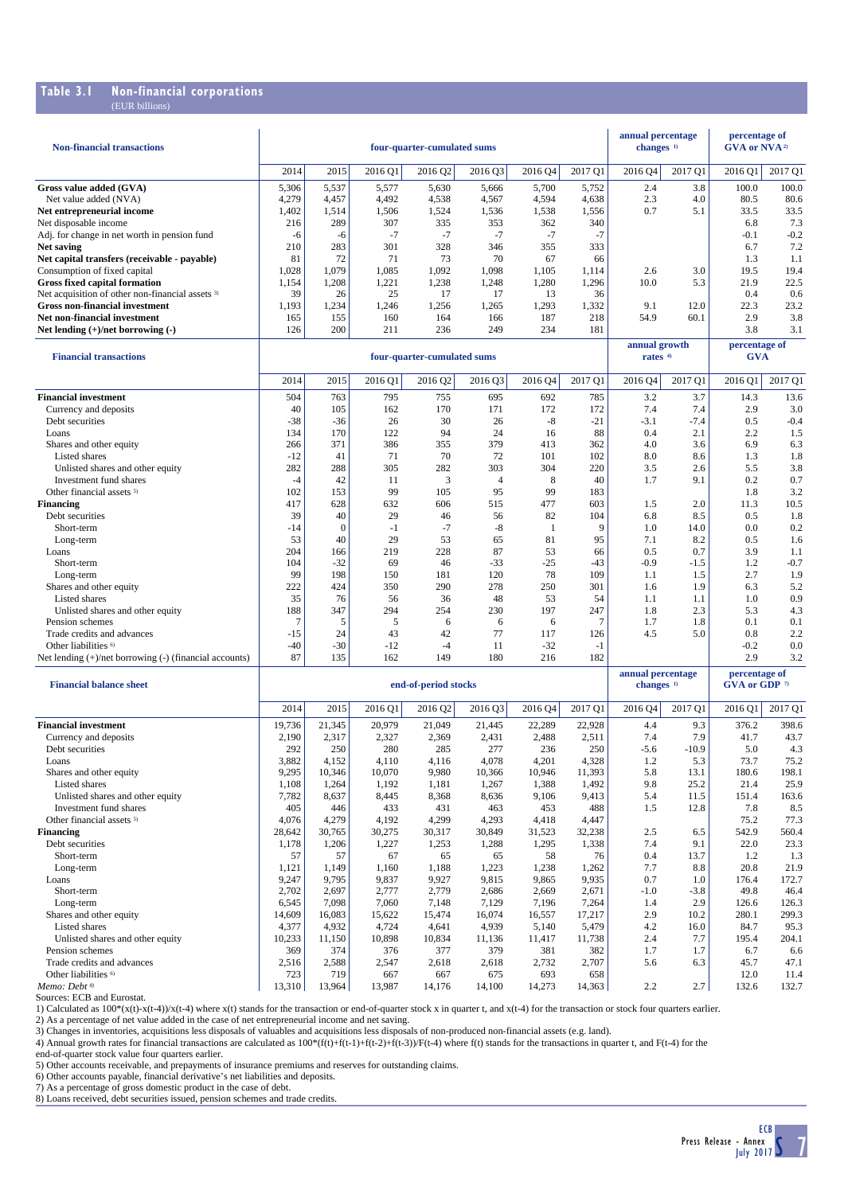### **Table 3.1 Non-financial corporations**

| (EUR billions)                                              |        |                |         |                             |                |              |         |                                            |         |                                                  |         |
|-------------------------------------------------------------|--------|----------------|---------|-----------------------------|----------------|--------------|---------|--------------------------------------------|---------|--------------------------------------------------|---------|
| <b>Non-financial transactions</b>                           |        |                |         | four-quarter-cumulated sums |                |              |         | annual percentage<br>changes <sup>1)</sup> |         | percentage of<br><b>GVA or NVA</b> <sup>2)</sup> |         |
|                                                             | 2014   | 2015           | 2016 O1 | 2016 Q2                     | 2016 Q3        | 2016 04      | 2017 Q1 | 2016 Q4                                    | 2017 Q1 | 2016 Q1                                          | 2017 Q1 |
| Gross value added (GVA)                                     | 5,306  | 5,537          | 5,577   | 5,630                       | 5,666          | 5,700        | 5,752   | 2.4                                        | 3.8     | 100.0                                            | 100.0   |
| Net value added (NVA)                                       | 4,279  | 4,457          | 4,492   | 4,538                       | 4,567          | 4,594        | 4,638   | 2.3                                        | 4.0     | 80.5                                             | 80.6    |
| Net entrepreneurial income                                  | 1,402  | 1,514          | 1,506   | 1,524                       | 1,536          | 1,538        | 1,556   | 0.7                                        | 5.1     | 33.5                                             | 33.5    |
| Net disposable income                                       | 216    | 289            | 307     | 335                         | 353            | 362          | 340     |                                            |         | 6.8                                              | 7.3     |
| Adj. for change in net worth in pension fund                | $-6$   | -6             | $-7$    | $-7$                        | $-7$           | $-7$         | $-7$    |                                            |         | $-0.1$                                           | $-0.2$  |
| <b>Net saving</b>                                           | 210    | 283            | 301     | 328                         | 346            | 355          | 333     |                                            |         | 6.7                                              | 7.2     |
| Net capital transfers (receivable - payable)                | 81     | 72             | 71      | 73                          | 70             | 67           | 66      |                                            |         | 1.3                                              | 1.1     |
| Consumption of fixed capital                                | 1,028  | 1,079          | 1.085   | 1,092                       | 1,098          | 1,105        | 1,114   | 2.6                                        | 3.0     | 19.5                                             | 19.4    |
| <b>Gross fixed capital formation</b>                        | 1,154  | 1,208          | 1,221   | 1,238                       | 1,248          | 1,280        | 1,296   | 10.0                                       | 5.3     | 21.9                                             | 22.5    |
| Net acquisition of other non-financial assets <sup>3)</sup> | 39     | 26             | 25      | 17                          | 17             | 13           | 36      |                                            |         | 0.4                                              | 0.6     |
| <b>Gross non-financial investment</b>                       | 1,193  | 1,234          | 1,246   | 1,256                       | 1,265          | 1,293        | 1,332   | 9.1                                        | 12.0    | 22.3                                             | 23.2    |
| Net non-financial investment                                | 165    | 155            | 160     | 164                         | 166            | 187          | 218     | 54.9                                       | 60.1    | 2.9                                              | 3.8     |
| Net lending $(+)/$ net borrowing $(-)$                      | 126    | 200            | 211     | 236                         | 249            | 234          | 181     |                                            |         | 3.8                                              | 3.1     |
| <b>Financial transactions</b>                               |        |                |         | four-quarter-cumulated sums |                |              |         | annual growth<br>rates <sup>4)</sup>       |         | percentage of<br><b>GVA</b>                      |         |
|                                                             | 2014   | 2015           | 2016 Q1 | 2016 Q2                     | 2016 Q3        | 2016 04      | 2017 Q1 | 2016 04                                    | 2017 Q1 | 2016 Q1                                          | 2017 Q1 |
| <b>Financial investment</b>                                 | 504    | 763            | 795     | 755                         | 695            | 692          | 785     | 3.2                                        | 3.7     | 14.3                                             | 13.6    |
| Currency and deposits                                       | 40     | 105            | 162     | 170                         | 171            | 172          | 172     | 7.4                                        | 7.4     | 2.9                                              | 3.0     |
| Debt securities                                             | $-38$  | $-36$          | 26      | 30                          | 26             | -8           | $-21$   | $-3.1$                                     | $-7.4$  | 0.5                                              | $-0.4$  |
| Loans                                                       | 134    | 170            | 122     | 94                          | 24             | 16           | 88      | 0.4                                        | 2.1     | 2.2                                              | 1.5     |
| Shares and other equity                                     | 266    | 371            | 386     | 355                         | 379            | 413          | 362     | 4.0                                        | 3.6     | 6.9                                              | 6.3     |
| Listed shares                                               | $-12$  | 41             | 71      | 70                          | 72             | 101          | 102     | 8.0                                        | 8.6     | 1.3                                              | 1.8     |
| Unlisted shares and other equity                            | 282    | 288            | 305     | 282                         | 303            | 304          | 220     | 3.5                                        | 2.6     | 5.5                                              | 3.8     |
| Investment fund shares                                      | $-4$   | 42             | 11      | 3                           | $\overline{4}$ | 8            | 40      | 1.7                                        | 9.1     | 0.2                                              | 0.7     |
| Other financial assets <sup>5)</sup>                        | 102    | 153            | 99      | 105                         | 95             | 99           | 183     |                                            |         | 1.8                                              | 3.2     |
| <b>Financing</b>                                            | 417    | 628            | 632     | 606                         | 515            | 477          | 603     | 1.5                                        | 2.0     | 11.3                                             | 10.5    |
| Debt securities                                             | 39     | 40             | 29      | 46                          | 56             | 82           | 104     | 6.8                                        | 8.5     | 0.5                                              | 1.8     |
| Short-term                                                  | $-14$  | $\mathbf{0}$   | $-1$    | $-7$                        | $-8$           | $\mathbf{1}$ | 9       | 1.0                                        | 14.0    | 0.0                                              | 0.2     |
| Long-term                                                   | 53     | 40             | 29      | 53                          | 65             | 81           | 95      | 7.1                                        | 8.2     | 0.5                                              | 1.6     |
| Loans                                                       | 204    | 166            | 219     | 228                         | 87             | 53           | 66      | 0.5                                        | 0.7     | 3.9                                              | 1.1     |
| Short-term                                                  | 104    | $-32$          | 69      | 46                          | $-33$          | $-25$        | $-43$   | $-0.9$                                     | $-1.5$  | 1.2                                              | $-0.7$  |
| Long-term                                                   | 99     | 198            | 150     | 181                         | 120            | 78           | 109     | 1.1                                        | 1.5     | 2.7                                              | 1.9     |
| Shares and other equity                                     | 222    | 424            | 350     | 290                         | 278            | 250          | 301     | 1.6                                        | 1.9     | 6.3                                              | 5.2     |
| Listed shares                                               | 35     | 76             | 56      | 36                          | 48             | 53           | 54      | 1.1                                        | 1.1     | 1.0                                              | 0.9     |
| Unlisted shares and other equity                            | 188    | 347            | 294     | 254                         | 230            | 197          | 247     | 1.8                                        | 2.3     | 5.3                                              | 4.3     |
| Pension schemes                                             | $\tau$ | $\mathfrak{F}$ | 5       | 6                           | 6              | 6            | 7       | 1.7                                        | 1.8     | 0.1                                              | 0.1     |

| <b>Financial balance sheet</b>       |        | end-of-period stocks |         |         |         |         |         |         | annual percentage<br>changes <sup>1)</sup> | percentage of<br>GVA or GDP 7 |         |
|--------------------------------------|--------|----------------------|---------|---------|---------|---------|---------|---------|--------------------------------------------|-------------------------------|---------|
|                                      | 2014   | 2015                 | 2016 Q1 | 2016 Q2 | 2016 Q3 | 2016 Q4 | 2017 Q1 | 2016 Q4 | 2017 Q1                                    | 2016 Q1                       | 2017 Q1 |
| <b>Financial investment</b>          | 19,736 | 21,345               | 20,979  | 21,049  | 21.445  | 22,289  | 22,928  | 4.4     | 9.3                                        | 376.2                         | 398.6   |
| Currency and deposits                | 2.190  | 2,317                | 2,327   | 2,369   | 2,431   | 2,488   | 2,511   | 7.4     | 7.9                                        | 41.7                          | 43.7    |
| Debt securities                      | 292    | 250                  | 280     | 285     | 277     | 236     | 250     | $-5.6$  | $-10.9$                                    | 5.0                           | 4.3     |
| Loans                                | 3,882  | 4,152                | 4.110   | 4,116   | 4,078   | 4,201   | 4,328   | 1.2     | 5.3                                        | 73.7                          | 75.2    |
| Shares and other equity              | 9,295  | 10,346               | 10,070  | 9,980   | 10.366  | 10.946  | 11,393  | 5.8     | 13.1                                       | 180.6                         | 198.1   |
| Listed shares                        | 1,108  | 1,264                | 1,192   | 1,181   | 1,267   | 1,388   | 1,492   | 9.8     | 25.2                                       | 21.4                          | 25.9    |
| Unlisted shares and other equity     | 7,782  | 8,637                | 8,445   | 8,368   | 8,636   | 9,106   | 9,413   | 5.4     | 11.5                                       | 151.4                         | 163.6   |
| Investment fund shares               | 405    | 446                  | 433     | 431     | 463     | 453     | 488     | 1.5     | 12.8                                       | 7.8                           | 8.5     |
| Other financial assets <sup>5)</sup> | 4.076  | 4,279                | 4,192   | 4,299   | 4,293   | 4,418   | 4,447   |         |                                            | 75.2                          | 77.3    |
| <b>Financing</b>                     | 28,642 | 30,765               | 30,275  | 30,317  | 30,849  | 31,523  | 32,238  | 2.5     | 6.5                                        | 542.9                         | 560.4   |
| Debt securities                      | 1,178  | 1,206                | 1,227   | 1,253   | 1,288   | 1,295   | 1,338   | 7.4     | 9.1                                        | 22.0                          | 23.3    |
| Short-term                           | 57     | 57                   | 67      | 65      | 65      | 58      | 76      | 0.4     | 13.7                                       | 1.2                           | 1.3     |
| Long-term                            | 1,121  | 1,149                | 1,160   | 1,188   | 1,223   | 1,238   | 1,262   | 7.7     | 8.8                                        | 20.8                          | 21.9    |
| Loans                                | 9,247  | 9,795                | 9,837   | 9,927   | 9,815   | 9,865   | 9,935   | 0.7     | 1.0                                        | 176.4                         | 172.7   |
| Short-term                           | 2,702  | 2,697                | 2,777   | 2,779   | 2,686   | 2,669   | 2,671   | $-1.0$  | $-3.8$                                     | 49.8                          | 46.4    |
| Long-term                            | 6,545  | 7,098                | 7.060   | 7,148   | 7,129   | 7,196   | 7,264   | 1.4     | 2.9                                        | 126.6                         | 126.3   |
| Shares and other equity              | 14,609 | 16,083               | 15,622  | 15.474  | 16,074  | 16,557  | 17,217  | 2.9     | 10.2                                       | 280.1                         | 299.3   |
| Listed shares                        | 4,377  | 4,932                | 4,724   | 4,641   | 4,939   | 5,140   | 5,479   | 4.2     | 16.0                                       | 84.7                          | 95.3    |
| Unlisted shares and other equity     | 10,233 | 11,150               | 10,898  | 10,834  | 11,136  | 11,417  | 11,738  | 2.4     | 7.7                                        | 195.4                         | 204.1   |
| Pension schemes                      | 369    | 374                  | 376     | 377     | 379     | 381     | 382     | 1.7     | 1.7                                        | 6.7                           | 6.6     |
| Trade credits and advances           | 2,516  | 2,588                | 2,547   | 2,618   | 2,618   | 2,732   | 2,707   | 5.6     | 6.3                                        | 45.7                          | 47.1    |
| Other liabilities <sup>6)</sup>      | 723    | 719                  | 667     | 667     | 675     | 693     | 658     |         |                                            | 12.0                          | 11.4    |
| Memo: Debt <sup>8)</sup>             | 13,310 | 13,964               | 13.987  | 14,176  | 14.100  | 14,273  | 14,363  | 2.2     | 2.7                                        | 132.6                         | 132.7   |

Trade credits and advances<br>
Trade credits and advances<br>
Other liabilities <sup>6</sup> 0.8 2.2<br>
Other liabilities <sup>6</sup> 0.8 2.2<br>
Other liabilities <sup>6</sup> 0.8 2.2 Other liabilities  $\degree$   $\qquad$   $\qquad$   $\qquad$   $\qquad$   $\qquad$   $\qquad$   $\qquad$   $\qquad$   $\qquad$   $\qquad$   $\qquad$   $\qquad$   $\qquad$   $\qquad$   $\qquad$   $\qquad$   $\qquad$   $\qquad$   $\qquad$   $\qquad$   $\qquad$   $\qquad$   $\qquad$   $\qquad$   $\qquad$   $\qquad$   $\qquad$   $\qquad$   $\qquad$   $\qquad$   $\qquad$   $\qquad$   $\qquad$  Net lending (+)/net borrowing (-) (financial accounts) 87 135 162 149 180 216 182 2.9 3.2

Sources: ECB and Eurostat.

1) Calculated as  $100*(x(t)-x(t-4))/(x(t-4))$  where  $x(t)$  stands for the transaction or end-of-quarter stock x in quarter t, and  $x(t-4)$  for the transaction or stock four quarters earlier.

2) As a percentage of net value added in the case of net entrepreneurial income and net saving.<br>3) Changes in inventories, acquisitions less disposals of valuables and acquisitions less disposals of non-produced non-financ 4) Annual growth rates for financial transactions are calculated as  $100*(f(t)+(t-1)+(t-2)+(t-3))/F(t-4)$  where  $f(t)$  stands for the transactions in quarter t, and  $F(t-4)$  for the

end-of-quarter stock value four quarters earlier.

5) Other accounts receivable, and prepayments of insurance premiums and reserves for outstanding claims.<br>6) Other accounts payable, financial derivative's net liabilities and deposits.<br>7) As a percentage of gross domestic

8) Loans received, debt securities issued, pension schemes and trade credits.

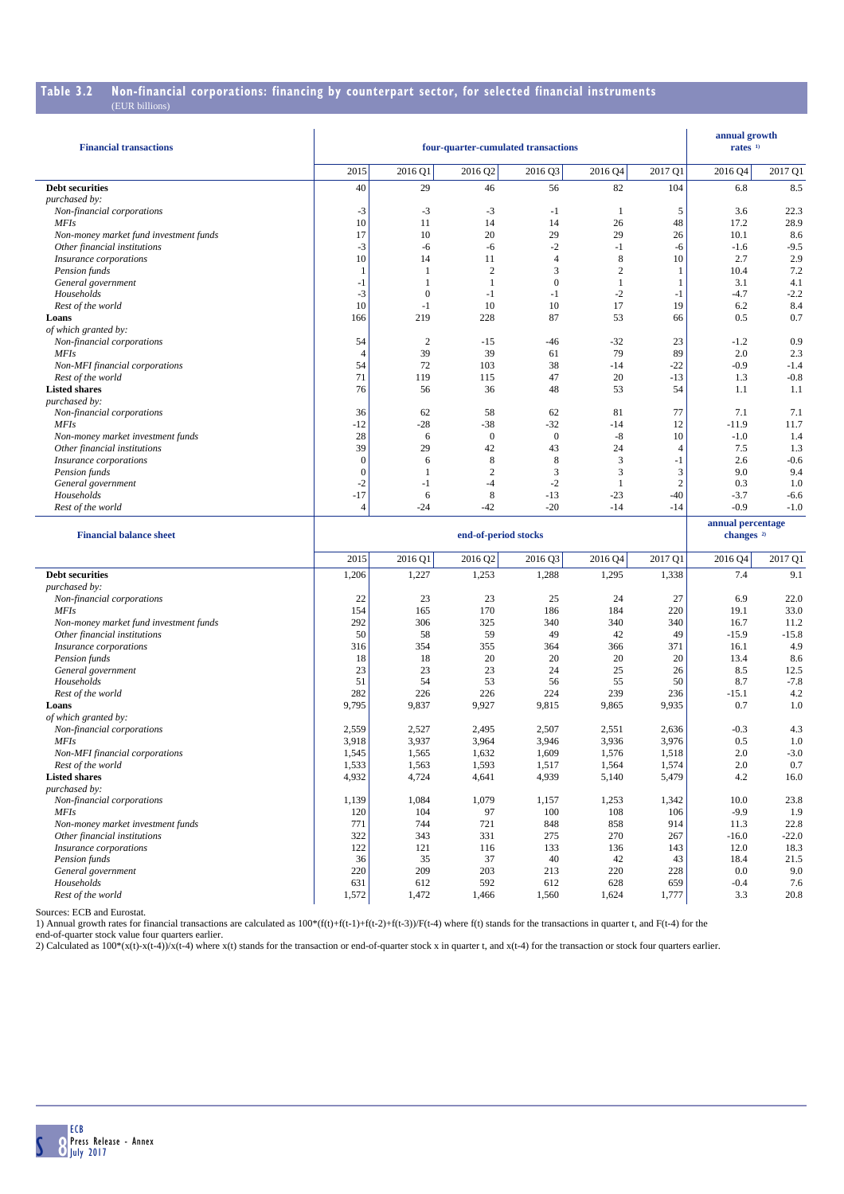# **Table 3.2 Non-financial corporations: financing by counterpart sector, for selected financial instruments**

| <b>Financial transactions</b>                         |                  |                | annual growth<br>rates $1$ |                  |                |                |                                            |               |
|-------------------------------------------------------|------------------|----------------|----------------------------|------------------|----------------|----------------|--------------------------------------------|---------------|
|                                                       | 2015             | 2016 Q1        | 2016 Q2                    | 2016 Q3          | 2016 Q4        | 2017 Q1        | 2016 Q4                                    | 2017 Q1       |
| <b>Debt securities</b>                                | 40               | 29             | 46                         | 56               | 82             | 104            | 6.8                                        | 8.5           |
| purchased by:                                         |                  |                |                            |                  |                |                |                                            |               |
| Non-financial corporations                            | $-3$             | $-3$<br>11     | $-3$                       | $-1$<br>14       | $\mathbf{1}$   | 5              | 3.6                                        | 22.3<br>28.9  |
| <b>MFIs</b><br>Non-money market fund investment funds | 10<br>17         | 10             | 14<br>20                   | 29               | 26<br>29       | 48<br>26       | 17.2<br>10.1                               | 8.6           |
| Other financial institutions                          | $-3$             | $-6$           | -6                         | $-2$             | $-1$           | -6             | $-1.6$                                     | $-9.5$        |
| Insurance corporations                                | 10               | 14             | 11                         | $\overline{4}$   | 8              | 10             | 2.7                                        | 2.9           |
| Pension funds                                         | 1                | 1              | $\overline{2}$             | 3                | $\overline{2}$ | 1              | 10.4                                       | 7.2           |
| General government                                    | $-1$             | 1              | 1                          | $\mathbf{0}$     | -1             | 1              | 3.1                                        | 4.1           |
| Households                                            | $-3$             | $\Omega$       | $-1$                       | $-1$             | $-2$           | $-1$           | $-4.7$                                     | $-2.2$        |
| Rest of the world                                     | 10               | $-1$           | 10                         | 10               | 17             | 19             | 6.2                                        | 8.4           |
| Loans                                                 | 166              | 219            | 228                        | 87               | 53             | 66             | 0.5                                        | 0.7           |
| of which granted by:                                  |                  |                |                            |                  |                |                |                                            |               |
| Non-financial corporations                            | 54               | $\mathbf{2}$   | $-15$                      | -46              | $-32$          | 23             | $-1.2$                                     | 0.9           |
| <b>MFIs</b>                                           | 4                | 39             | 39                         | 61               | 79             | 89             | 2.0                                        | 2.3           |
| Non-MFI financial corporations                        | 54               | 72             | 103                        | 38               | $-14$          | $-22$          | $-0.9$                                     | $-1.4$        |
| Rest of the world                                     | 71               | 119            | 115                        | 47               | 20             | $-13$          | 1.3                                        | $-0.8$        |
| <b>Listed shares</b>                                  | 76               | 56             | 36                         | 48               | 53             | 54             | 1.1                                        | 1.1           |
| purchased by:<br>Non-financial corporations           | 36               | 62             | 58                         | 62               | 81             | 77             | 7.1                                        | 7.1           |
| <b>MFIs</b>                                           | $-12$            | $-28$          | $-38$                      | $-32$            | $-14$          | 12             | $-11.9$                                    | 11.7          |
| Non-money market investment funds                     | 28               | 6              | $\mathbf{0}$               | $\boldsymbol{0}$ | $-8$           | 10             | $-1.0$                                     | 1.4           |
| Other financial institutions                          | 39               | 29             | 42                         | 43               | 24             | $\overline{4}$ | 7.5                                        | 1.3           |
| Insurance corporations                                | $\boldsymbol{0}$ | 6              | 8                          | 8                | 3              | -1             | 2.6                                        | $-0.6$        |
| Pension funds                                         | $\overline{0}$   | 1              | $\overline{2}$             | 3                | 3              | 3              | 9.0                                        | 9.4           |
| General government                                    | $-2$             | $-1$           | $-4$                       | $-2$             | 1              | $\overline{c}$ | 0.3                                        | 1.0           |
| Households                                            | $-17$            | 6              | 8                          | $-13$            | $-23$          | $-40$          | $-3.7$                                     | $-6.6$        |
| Rest of the world                                     | $\overline{4}$   | $-24$          | $-42$                      | $-20$            | $-14$          | $-14$          | $-0.9$                                     | $-1.0$        |
|                                                       |                  |                |                            |                  |                |                |                                            |               |
| <b>Financial balance sheet</b>                        |                  |                | end-of-period stocks       |                  |                |                | annual percentage<br>changes <sup>2)</sup> |               |
|                                                       |                  |                |                            |                  |                |                |                                            |               |
|                                                       | 2015             | 2016 Q1        | 2016 Q2                    | 2016 Q3          | 2016 Q4        | 2017 Q1        | 2016 Q4                                    | 2017 Q1       |
| <b>Debt securities</b>                                | 1,206            | 1,227          | 1,253                      | 1,288            | 1,295          | 1,338          | 7.4                                        | 9.1           |
| purchased by:                                         |                  |                |                            |                  |                |                |                                            |               |
| Non-financial corporations                            | 22               | 23             | 23                         | 25               | 24             | 27             | 6.9                                        | 22.0          |
| <b>MFIs</b><br>Non-money market fund investment funds | 154<br>292       | 165<br>306     | 170<br>325                 | 186<br>340       | 184<br>340     | 220<br>340     | 19.1<br>16.7                               | 33.0<br>11.2  |
| Other financial institutions                          | 50               | 58             | 59                         | 49               | 42             | 49             | $-15.9$                                    | $-15.8$       |
| <i>Insurance corporations</i>                         | 316              | 354            | 355                        | 364              | 366            | 371            | 16.1                                       | 4.9           |
| Pension funds                                         | 18               | 18             | 20                         | 20               | 20             | 20             | 13.4                                       | 8.6           |
| General government                                    | 23               | 23             | 23                         | 24               | 25             | 26             | 8.5                                        | 12.5          |
| Households                                            | 51               | 54             | 53                         | 56               | 55             | 50             | 8.7                                        | $-7.8$        |
| Rest of the world                                     | 282              | 226            | 226                        | 224              | 239            | 236            | $-15.1$                                    | 4.2           |
| Loans                                                 | 9,795            | 9,837          | 9,927                      | 9,815            | 9,865          | 9,935          | 0.7                                        | 1.0           |
| of which granted by:                                  |                  |                |                            |                  |                |                |                                            |               |
| Non-financial corporations                            | 2,559            | 2,527          | 2,495                      | 2,507            | 2,551          | 2,636          | $-0.3$                                     | 4.3           |
| <b>MFIs</b>                                           | 3,918            | 3,937          | 3,964                      | 3,946            | 3,936          | 3,976          | 0.5                                        | 1.0           |
| Non-MFI financial corporations<br>Rest of the world   | 1,545<br>1,533   | 1,565<br>1,563 | 1,632<br>1,593             | 1,609<br>1,517   | 1,576<br>1,564 | 1,518<br>1,574 | 2.0<br>$2.0\,$                             | $-3.0$<br>0.7 |
| <b>Listed shares</b>                                  | 4,932            | 4,724          | 4,641                      | 4,939            | 5,140          | 5,479          | 4.2                                        | 16.0          |
| purchased by:                                         |                  |                |                            |                  |                |                |                                            |               |
| Non-financial corporations                            | 1,139            | 1,084          | 1,079                      | 1,157            | 1,253          | 1,342          | 10.0                                       | 23.8          |
| <b>MFIs</b>                                           | 120              | 104            | 97                         | 100              | 108            | 106            | $-9.9$                                     | 1.9           |
| Non-money market investment funds                     | 771              | 744            | 721                        | 848              | 858            | 914            | 11.3                                       | 22.8          |
| Other financial institutions                          | 322              | 343            | 331                        | 275              | 270            | 267            | $-16.0$                                    | $-22.0$       |
| Insurance corporations                                | 122              | 121            | 116                        | 133              | 136            | 143            | 12.0                                       | 18.3          |
| Pension funds                                         | 36               | 35             | 37                         | 40               | 42             | 43             | 18.4                                       | 21.5          |
| General government                                    | 220              | 209            | 203                        | 213              | 220            | 228            | 0.0                                        | 9.0           |
| Households<br>Rest of the world                       | 631<br>1,572     | 612<br>1,472   | 592<br>1,466               | 612<br>1,560     | 628<br>1,624   | 659<br>1,777   | $-0.4$<br>3.3                              | 7.6<br>20.8   |

Sources: ECB and Eurostat.

1) Annual growth rates for financial transactions are calculated as  $100*(f(t)+(t-1)+(f(t-2))+f(t-3))/F(t-4)$  where  $f(t)$  stands for the transactions in quarter t, and  $F(t-4)$  for the

end-of-quarter stock value four quarters earlier.<br>2) Calculated as 100\*(x(t)-x(t-4))/x(t-4) where x(t) stands for the transaction or end-of-quarter stock x in quarter t, and x(t-4) for the transaction or stock four quarter

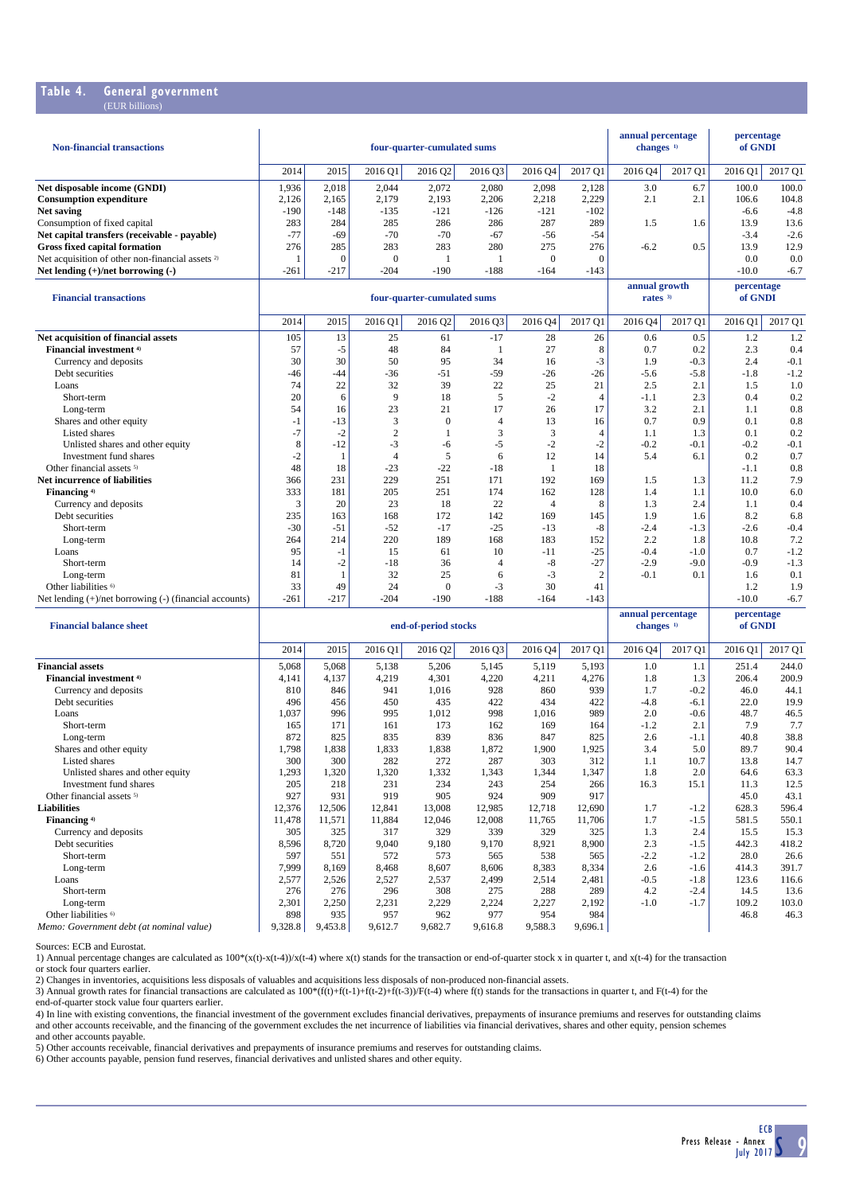#### **Table 4. General government** (EUR billions)

| <b>Non-financial transactions</b>                           | four-quarter-cumulated sums |        |         |         |        |          |         |         | annual percentage<br>changes $1$ | percentage<br>of GNDI |         |
|-------------------------------------------------------------|-----------------------------|--------|---------|---------|--------|----------|---------|---------|----------------------------------|-----------------------|---------|
|                                                             | 2014                        | 2015   | 2016 Q1 | 2016 02 | 2016Q3 | 2016 Q4  | 2017 O1 | 2016 04 | 2017 Q1                          | 2016 O1               | 2017 O1 |
| Net disposable income (GNDI)                                | 1,936                       | 2,018  | 2.044   | 2,072   | 2.080  | 2.098    | 2.128   | 3.0     | 6.7                              | 100.0                 | 100.0   |
| <b>Consumption expenditure</b>                              | 2.126                       | 2.165  | 2.179   | 2,193   | 2,206  | 2.218    | 2.229   | 2.1     | 2.1                              | 106.6                 | 104.8   |
| Net saving                                                  | $-190$                      | $-148$ | $-135$  | $-121$  | $-126$ | $-121$   | $-102$  |         |                                  | $-6.6$                | $-4.8$  |
| Consumption of fixed capital                                | 283                         | 284    | 285     | 286     | 286    | 287      | 289     | 1.5     | 1.6                              | 13.9                  | 13.6    |
| Net capital transfers (receivable - payable)                | $-77$                       | $-69$  | $-70$   | $-70$   | $-67$  | $-56$    | $-54$   |         |                                  | $-3.4$                | $-2.6$  |
| <b>Gross fixed capital formation</b>                        | 276                         | 285    | 283     | 283     | 280    | 275      | 276     | $-6.2$  | 0.5                              | 13.9                  | 12.9    |
| Net acquisition of other non-financial assets <sup>2)</sup> |                             |        |         |         |        | $\theta$ | 0       |         |                                  | 0.0                   | 0.0     |
| Net lending $(+)/$ net borrowing $(-)$                      | $-261$                      | $-217$ | $-204$  | $-190$  | $-188$ | $-164$   | $-143$  |         |                                  | $-10.0$               | $-6.7$  |

| <b>Financial transactions</b>                               |        |        |                | four-quarter-cumulated sums |                | annual growth<br>rates $3$ |                | percentage<br>of GNDI |         |         |         |
|-------------------------------------------------------------|--------|--------|----------------|-----------------------------|----------------|----------------------------|----------------|-----------------------|---------|---------|---------|
|                                                             | 2014   | 2015   | 2016 Q1        | 2016 Q2                     | 2016 Q3        | 2016 Q4                    | 2017 Q1        | 2016 Q4               | 2017 Q1 | 2016 Q1 | 2017 Q1 |
| Net acquisition of financial assets                         | 105    | 13     | 25             | 61                          | $-17$          | 28                         | 26             | 0.6                   | 0.5     | 1.2     | 1.2     |
| Financial investment <sup>4)</sup>                          | 57     | -5     | 48             | 84                          |                | 27                         | 8              | 0.7                   | 0.2     | 2.3     | 0.4     |
| Currency and deposits                                       | 30     | 30     | 50             | 95                          | 34             | 16                         | $-3$           | 1.9                   | $-0.3$  | 2.4     | $-0.1$  |
| Debt securities                                             | $-46$  | $-44$  | $-36$          | $-51$                       | $-59$          | $-26$                      | $-26$          | $-5.6$                | $-5.8$  | $-1.8$  | $-1.2$  |
| Loans                                                       | 74     | 22     | 32             | 39                          | 22             | 25                         | 21             | 2.5                   | 2.1     | 1.5     | 1.0     |
| Short-term                                                  | 20     | 6      | 9              | 18                          | 5              | $-2$                       | $\overline{4}$ | $-1.1$                | 2.3     | 0.4     | 0.2     |
| Long-term                                                   | 54     | 16     | 23             | 21                          | 17             | 26                         | 17             | 3.2                   | 2.1     | 1.1     | 0.8     |
| Shares and other equity                                     | -1     | $-13$  | 3              | $\Omega$                    | $\overline{4}$ | 13                         | 16             | 0.7                   | 0.9     | 0.1     | 0.8     |
| Listed shares                                               | $-7$   | $-2$   | $\overline{c}$ |                             | 3              | 3                          | $\overline{4}$ | 1.1                   | 1.3     | 0.1     | 0.2     |
| Unlisted shares and other equity                            | 8      | $-12$  | $-3$           | -6                          | $-5$           | $-2$                       | $-2$           | $-0.2$                | $-0.1$  | $-0.2$  | $-0.1$  |
| Investment fund shares                                      | $-2$   |        | 4              | 5                           | 6              | 12                         | 14             | 5.4                   | 6.1     | 0.2     | 0.7     |
| Other financial assets <sup>5)</sup>                        | 48     | 18     | $-23$          | $-22$                       | $-18$          |                            | 18             |                       |         | $-1.1$  | 0.8     |
| Net incurrence of liabilities                               | 366    | 231    | 229            | 251                         | 171            | 192                        | 169            | 1.5                   | 1.3     | 11.2    | 7.9     |
| Financing <sup>4)</sup>                                     | 333    | 181    | 205            | 251                         | 174            | 162                        | 128            | 1.4                   | 1.1     | 10.0    | 6.0     |
| Currency and deposits                                       | 3      | 20     | 23             | 18                          | 22             | 4                          | 8              | 1.3                   | 2.4     | 1.1     | 0.4     |
| Debt securities                                             | 235    | 163    | 168            | 172                         | 142            | 169                        | 145            | 1.9                   | 1.6     | 8.2     | 6.8     |
| Short-term                                                  | $-30$  | $-51$  | $-52$          | $-17$                       | $-25$          | $-13$                      | -8             | $-2.4$                | $-1.3$  | $-2.6$  | $-0.4$  |
| Long-term                                                   | 264    | 214    | 220            | 189                         | 168            | 183                        | 152            | 2.2                   | 1.8     | 10.8    | 7.2     |
| Loans                                                       | 95     | - 1    | 15             | 61                          | 10             | $-11$                      | $-25$          | $-0.4$                | $-1.0$  | 0.7     | $-1.2$  |
| Short-term                                                  | 14     | $-2$   | $-18$          | 36                          | 4              | $-8$                       | $-27$          | $-2.9$                | $-9.0$  | $-0.9$  | $-1.3$  |
| Long-term                                                   | 81     |        | 32             | 25                          | 6              | $-3$                       | $\overline{c}$ | $-0.1$                | 0.1     | 1.6     | 0.1     |
| Other liabilities <sup>6)</sup>                             | 33     | 49     | 24             | $\Omega$                    | $-3$           | 30                         | 41             |                       |         | 1.2     | 1.9     |
| Net lending $(+)/$ net borrowing $(-)$ (financial accounts) | $-261$ | $-217$ | $-204$         | $-190$                      | $-188$         | $-164$                     | $-143$         |                       |         | $-10.0$ | $-6.7$  |

| <b>Financial halance sheet</b>           |         |         |         | end-of-period stocks |         | annual percentage<br>changes <sup>1)</sup> |         | percentage<br>of GNDI |         |         |         |
|------------------------------------------|---------|---------|---------|----------------------|---------|--------------------------------------------|---------|-----------------------|---------|---------|---------|
|                                          | 2014    | 2015    | 2016 Q1 | 2016 Q2              | 2016 Q3 | 2016 Q4                                    | 2017 Q1 | 2016 Q4               | 2017 Q1 | 2016 Q1 | 2017 Q1 |
| <b>Financial assets</b>                  | 5,068   | 5,068   | 5,138   | 5,206                | 5,145   | 5,119                                      | 5,193   | 1.0                   | 1.1     | 251.4   | 244.0   |
| <b>Financial investment</b> 4)           | 4,141   | 4,137   | 4,219   | 4,301                | 4,220   | 4,211                                      | 4,276   | 1.8                   | 1.3     | 206.4   | 200.9   |
| Currency and deposits                    | 810     | 846     | 941     | 1.016                | 928     | 860                                        | 939     | 1.7                   | $-0.2$  | 46.0    | 44.1    |
| Debt securities                          | 496     | 456     | 450     | 435                  | 422     | 434                                        | 422     | $-4.8$                | $-6.1$  | 22.0    | 19.9    |
| Loans                                    | 1,037   | 996     | 995     | 1,012                | 998     | 1,016                                      | 989     | 2.0                   | $-0.6$  | 48.7    | 46.5    |
| Short-term                               | 165     | 171     | 161     | 173                  | 162     | 169                                        | 164     | $-1.2$                | 2.1     | 7.9     | 7.7     |
| Long-term                                | 872     | 825     | 835     | 839                  | 836     | 847                                        | 825     | 2.6                   | $-1.1$  | 40.8    | 38.8    |
| Shares and other equity                  | 1,798   | 1,838   | 1,833   | 1,838                | 1,872   | 1,900                                      | 1,925   | 3.4                   | 5.0     | 89.7    | 90.4    |
| Listed shares                            | 300     | 300     | 282     | 272                  | 287     | 303                                        | 312     | 1.1                   | 10.7    | 13.8    | 14.7    |
| Unlisted shares and other equity         | 1,293   | 1,320   | 1,320   | 1,332                | 1,343   | 1,344                                      | 1,347   | 1.8                   | 2.0     | 64.6    | 63.3    |
| Investment fund shares                   | 205     | 218     | 231     | 234                  | 243     | 254                                        | 266     | 16.3                  | 15.1    | 11.3    | 12.5    |
| Other financial assets <sup>5)</sup>     | 927     | 931     | 919     | 905                  | 924     | 909                                        | 917     |                       |         | 45.0    | 43.1    |
| <b>Liabilities</b>                       | 12,376  | 12,506  | 12,841  | 13,008               | 12,985  | 12,718                                     | 12,690  | 1.7                   | $-1.2$  | 628.3   | 596.4   |
| Financing 4)                             | 11,478  | 11,571  | 11,884  | 12,046               | 12,008  | 11,765                                     | 11,706  | 1.7                   | $-1.5$  | 581.5   | 550.1   |
| Currency and deposits                    | 305     | 325     | 317     | 329                  | 339     | 329                                        | 325     | 1.3                   | 2.4     | 15.5    | 15.3    |
| Debt securities                          | 8,596   | 8,720   | 9.040   | 9,180                | 9.170   | 8,921                                      | 8,900   | 2.3                   | $-1.5$  | 442.3   | 418.2   |
| Short-term                               | 597     | 551     | 572     | 573                  | 565     | 538                                        | 565     | $-2.2$                | $-1.2$  | 28.0    | 26.6    |
| Long-term                                | 7,999   | 8,169   | 8,468   | 8,607                | 8,606   | 8,383                                      | 8,334   | 2.6                   | $-1.6$  | 414.3   | 391.7   |
| Loans                                    | 2,577   | 2,526   | 2,527   | 2,537                | 2,499   | 2,514                                      | 2,481   | $-0.5$                | $-1.8$  | 123.6   | 116.6   |
| Short-term                               | 276     | 276     | 296     | 308                  | 275     | 288                                        | 289     | 4.2                   | $-2.4$  | 14.5    | 13.6    |
| Long-term                                | 2,301   | 2,250   | 2,231   | 2,229                | 2,224   | 2,227                                      | 2,192   | $-1.0$                | $-1.7$  | 109.2   | 103.0   |
| Other liabilities <sup>6)</sup>          | 898     | 935     | 957     | 962                  | 977     | 954                                        | 984     |                       |         | 46.8    | 46.3    |
| Memo: Government debt (at nominal value) | 9,328.8 | 9,453.8 | 9,612.7 | 9,682.7              | 9.616.8 | 9,588.3                                    | 9,696.1 |                       |         |         |         |

Sources: ECB and Eurostat.

1) Annual percentage changes are calculated as 100\*(x(t)-x(t-4))/x(t-4) where x(t) stands for the transaction or end-of-quarter stock x in quarter t, and x(t-4) for the transaction

or stock four quarters earlier.<br>2) Changes in inventories, acquisitions less disposals of valuables and acquisitions less disposals of non-produced non-financial assets.<br>3) Annual growth rates for financial transactions ar

end-of-quarter stock value four quarters earlier.

4) In line with existing conventions, the financial investment of the government excludes financial derivatives, prepayments of insurance premiums and reserves for outstanding claims<br>and other accounts receivable, and the and other accounts payable.

5) Other accounts receivable, financial derivatives and prepayments of insurance premiums and reserves for outstanding claims.<br>6) Other accounts payable, pension fund reserves, financial derivatives and unlisted shares and